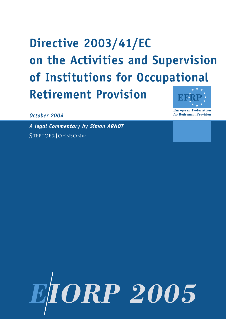# **Directive 2003/41/EC on the Activities and Supervision of Institutions for Occupational Retirement Provision**

**European Federation** for Retirement Provision

*October 2004*

*A legal Commentary by Simon ARNOT* STEPTOE&JOHNSON LLP

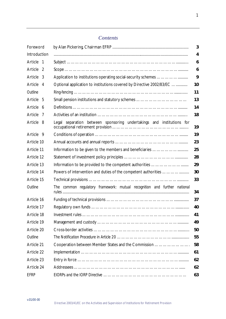# *Contents*

| Foreword      | 3                                                                          |    |  |  |  |  |
|---------------|----------------------------------------------------------------------------|----|--|--|--|--|
| Introduction  |                                                                            | 4  |  |  |  |  |
| Article 1     | 6                                                                          |    |  |  |  |  |
| Article<br>-2 |                                                                            | 6  |  |  |  |  |
| Article 3     |                                                                            | 9  |  |  |  |  |
| Article 4     | Optional application to institutions covered by Directive 2002/83/EC<br>10 |    |  |  |  |  |
| Outline       | 11                                                                         |    |  |  |  |  |
| Article 5     | 13                                                                         |    |  |  |  |  |
| Article 6     | 14                                                                         |    |  |  |  |  |
| Article<br>-7 | 18                                                                         |    |  |  |  |  |
| Article 8     | separation between sponsoring undertakings and institutions for<br>Legal   | 19 |  |  |  |  |
| Article 9     |                                                                            | 19 |  |  |  |  |
| Article 10    | 23                                                                         |    |  |  |  |  |
| Article 11    | 25                                                                         |    |  |  |  |  |
| Article 12    | 28                                                                         |    |  |  |  |  |
| Article 13    |                                                                            | 29 |  |  |  |  |
| Article 14    | Powers of intervention and duties of the competent authorities             | 30 |  |  |  |  |
| Article 15    |                                                                            | 33 |  |  |  |  |
| Outline       | The common regulatory framework: mutual recognition and further national   | 34 |  |  |  |  |
| Article 16    |                                                                            | 37 |  |  |  |  |
| Article 17    |                                                                            | 40 |  |  |  |  |
| Article 18    | 41                                                                         |    |  |  |  |  |
| Article 19    |                                                                            | 49 |  |  |  |  |
| Article 20    |                                                                            | 50 |  |  |  |  |
| Outline       | 55                                                                         |    |  |  |  |  |
| Article 21    | 58<br>Cooperation between Member States and the Commission                 |    |  |  |  |  |
| Article 22    | 61                                                                         |    |  |  |  |  |
| Article 23    | 62                                                                         |    |  |  |  |  |
| Article 24    | 62                                                                         |    |  |  |  |  |
| <b>EFRP</b>   |                                                                            | 63 |  |  |  |  |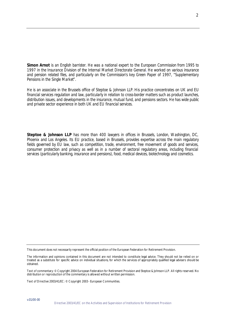*Simon Arnot is an English barrister. He was a national expert to the European Commission from 1995 to 1997 in the Insurance Division of the Internal Market Directorate General. He worked on various insurance and pension related files, and particularly on the Commission's key Green Paper of 1997, "Supplementary Pensions in the Single Market".*

*He is an associate in the Brussels office of Steptoe & Johnson LLP. His practice concentrates on UK and EU financial services regulation and law, particularly in relation to cross-border matters such as product launches, distribution issues, and developments in the insurance, mutual fund, and pensions sectors. He has wide public and private sector experience in both UK and EU financial services.*

*Steptoe & Johnson LLP has more than 400 lawyers in offices in Brussels, London, Washington, DC, Phoenix and Los Angeles. Its EU practice, based in Brussels, provides expertise across the main regulatory fields governed by EU law, such as competition, trade, environment, free movement of goods and services, consumer protection and privacy as well as in a number of sectoral regulatory areas, including financial services (particularly banking, insurance and pensions), food, medical devices, biotechnology and cosmetics.*

This document does not necessarily represent the official position of the European Federation for Retirement Provision.

Text of commentary: © Copyright 2004 European Federation for Retirement Provision and Steptoe & Johnson LLP. All rights reserved. No distribution or reproduction of the commentary is allowed without written permission.

Text of Directive 2003/41/EC: © Copyright 2003 - European Communities.

v.01/00-00

The information and opinions contained in this document are not intended to constitute legal advice. They should not be relied on or treated as a substitute for specific advice on individual situations, for which the services of appropriately qualified legal advisers should be obtained.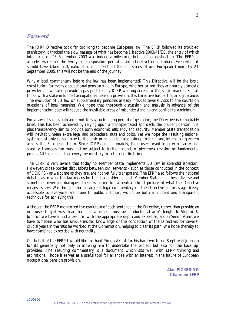# *Foreword*

The IORP Directive took far too long to become European law. The EFRP followed its troubled prehistory. It tracked the slow passage of what has become Directive 2003/41/EC, the entry of which into force on 23 September 2003 was indeed a milestone, but no final destination. The EFRP is acutely aware that the two-year transposition period is but a brief yet critical phase. Even when it should have taken final, national form in each of the 25 States of our European Union, by 23 September 2005, this will not be the end of the journey.

Why a legal commentary before the law has been implemented? This Directive will be the basic constitution for every occupational pension fund in Europe, whether or not they are purely domestic providers. It will also provide a passport to any IORP wanting access to the single market. For all those with a stake in funded occupational pension provision, this Directive has particular significance. The evolution of EU law on supplementary pensions already includes several visits to the courts on questions of legal meaning. We hope that thorough discussion and analysis in advance of the implementation date will reduce the inevitable areas of misunderstanding and conflict to a minimum.

For a law of such significance, not to say such a long period of gestation, the Directive is remarkably brief. This has been achieved by relying upon a principle-based approach: the prudent person rule plus transparency aim to provide both economic efficiency and security. Member State transposition will inevitably mean extra legal and procedural nuts and bolts. Yet we hope the resulting national systems not only remain true to the basic principles but also join up to form one, interlocking system across the European Union. Since IORPs and, ultimately, their users want long-term clarity and stability, transposition must not be subject to further rounds of piecemeal revision on fundamental points. All this means that everyone must try to get it right first time.

The EFRP is very aware that today no Member State implements EU law in splendid isolation. However, cross-border discussions between civil servants - such as those conducted in the context of CEIOPS - as welcome as they are, are not yet fully transparent. The EFRP also follows the national debates as to what this law means for the stakeholders in each Member State. In all these diverse and sometimes diverging dialogues, there is a role for a neutral, global picture of what the Directive means as law. We thought that an argued, legal commentary on the Directive at this stage, freely accessible to everyone and open to public criticism, would be both a prudent and transparent technique for achieving this.

Although the EFRP monitored the evolution of each sentence in the Directive, rather than provide an in-house study it was clear that such a project must be conducted at arm's length. In Steptoe & Johnson we have found a law firm with the appropriate depth and expertise, and in Simon Arnot we have someone who has unique insider knowledge of the conception of the Directive; for several crucial years in the '90s he worked at the Commission, helping to clear its path. We hope thereby to have combined expertise with neutrality.

On behalf of the EFRP I would like to thank Simon Arnot for his hard work and Steptoe & Johnson for its generosity not only in allowing him to undertake the project but also for the back up provided. The resulting commentary is a document which sits well with EFRP thinking and aspirations. I hope it serves as a useful tool for all those with an interest in the future of European occupational pension provision.

> *Alan PICKERING Chairman EFRP*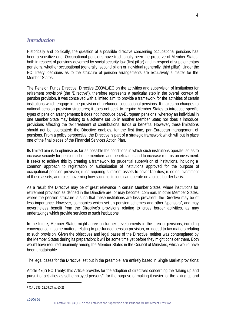# *Introduction*

Historically and politically, the question of a possible directive concerning occupational pensions has been a sensitive one. Occupational pensions have traditionally been the preserve of Member States, both in respect of pensions governed by social security law (first pillar) and in respect of supplementary pensions, whether occupational (generally, second pillar) or individual (generally, third pillar). Under the EC Treaty, decisions as to the structure of pension arrangements are exclusively a matter for the Member States.

The Pension Funds Directive, Directive 2003/41/EC on the activities and supervision of institutions for retirement provision<sup>1</sup> (the "Directive"), therefore represents a particular step in the overall context of pension provision. It was conceived with a limited aim: to provide a framework for the activities of certain institutions which engage in the provision of prefunded occupational pensions. It makes no changes to national pension provision structures; it does not seek to require Member States to introduce specific types of pension arrangements; it does not introduce pan-European pensions, whereby an individual in one Member State may belong to a scheme set up in another Member State; nor does it introduce provisions affecting the tax treatment of contributions, funds or benefits. However, these limitations should not be overstated: the Directive enables, for the first time, pan-European management of pensions. From a policy perspective, the Directive is part of a strategic framework which will put in place one of the final pieces of the Financial Services Action Plan.

Its limited aim is to optimise as far as possible the conditions in which such institutions operate, so as to increase security for pension scheme members and beneficiaries and to increase returns on investment. It seeks to achieve this by creating a framework for prudential supervision of institutions, including a common approach to registration or authorisation of institutions approved for the purpose of occupational pension provision; rules requiring sufficient assets to cover liabilities; rules on investment of those assets; and rules governing how such institutions can operate on a cross border basis.

As a result, the Directive may be of great relevance in certain Member States, where institutions for retirement provision as defined in the Directive are, or may become, common. In other Member States, where the pension structure is such that these institutions are less prevalent, the Directive may be of less importance. However, companies which set up pension schemes and other "sponsors", and may nevertheless benefit from the Directive's provisions relating to cross border activities, as may undertakings which provide services to such institutions.

In the future, Member States might agree on further developments in the area of pensions, including convergence in some matters relating to pre-funded pension provision, or indeed to tax matters relating to such provision. Given the objectives and legal bases of the Directive, neither was contemplated by the Member States during its preparation; it will be some time yet before they might consider them. Both would have required unanimity among the Member States in the Council of Ministers, which would have been unattainable.

The legal bases for the Directive, set out in the preamble, are entirely based in Single Market provisions:

Article 47(2) EC Treaty: this Article provides for the adoption of directives concerning the "taking up and pursuit of activities as self employed persons", for the purpose of making it easier for the taking up and

4

<sup>1</sup> OJ L 235, 23.09.03, pp10-21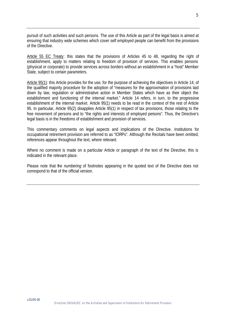pursuit of such activities and such persons. The use of this Article as part of the legal basis is aimed at ensuring that industry wide schemes which cover self employed people can benefit from the provisions of the Directive.

Article 55 EC Treaty: this states that the provisions of Articles 45 to 48, regarding the right of establishment, apply to matters relating to freedom of provision of services. This enables persons (physical or corporate) to provide services across borders without an establishment in a "host" Member State, subject to certain parameters.

Article 95(1): this Article provides for the use, for the purpose of achieving the objectives in Article 14, of the qualified majority procedure for the adoption of "measures for the approximation of provisions laid down by law, regulation or administrative action in Member States which have as their object the establishment and functioning of the internal market." Article 14 refers, in turn, to the progressive establishment of the internal market. Article 95(1) needs to be read in the context of the rest of Article 95. In particular, Article 95(2) disapplies Article 95(1) in respect of tax provisions, those relating to the free movement of persons and to "the rights and interests of employed persons". Thus, the Directive's legal basis is in the freedoms of establishment and provision of services.

This commentary comments on legal aspects and implications of the Directive. Institutions for occupational retirement provision are referred to as "IORPs". Although the Recitals have been omitted, references appear throughout the text, where relevant.

Where no comment is made on a particular Article or paragraph of the text of the Directive, this is indicated in the relevant place.

Please note that the *numbering* of footnotes appearing in the quoted text of the Directive does not correspond to that of the official version.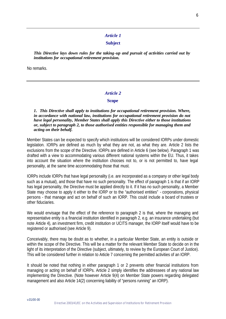# *Article 1*

#### **Subject**

*This Directive lays down rules for the taking-up and pursuit of activities carried out by institutions for occupational retirement provision.*

No remarks.

#### *Article 2*

#### **Scope**

*1. This Directive shall apply to institutions for occupational retirement provision. Where, in accordance with national law, institutions for occupational retirement provision do not have legal personality, Member States shall apply this Directive either to those institutions or, subject to paragraph 2, to those authorised entities responsible for managing them and acting on their behalf.*

Member States can be expected to specify which institutions will be considered IORPs under domestic legislation. IORPs are defined as much by what they are not, as what they are. Article 2 lists the exclusions from the scope of the Directive. IORPs are defined in Article 6 (see below). Paragraph 1 was drafted with a view to accommodating various different national systems within the EU. Thus, it takes into account the situation where the institution chooses not to, or is not permitted to, have legal personality, at the same time accommodating those that must.

IORPs include IORPs that have legal personality (i.e. are incorporated as a company or other legal body such as a mutual), and those that have no such personality. The effect of paragraph 1 is that if an IORP has legal personality, the Directive must be applied directly to it. If it has no such personality, a Member State may choose to apply it either to the IORP or to the "authorised entities" - corporations, physical persons - that manage and act on behalf of such an IORP. This could include a board of trustees or other fiduciaries.

We would envisage that the effect of the reference to paragraph 2 is that, where the managing and representative entity is a financial institution identified in paragraph 2, e.g. an insurance undertaking (but note Article 4), an investment firm, credit institution or UCITS manager, the IORP itself would have to be registered or authorised (see Article 9).

Conceivably, there may be doubt as to whether, in a particular Member State, an entity is outside or within the scope of the Directive. This will be a matter for the relevant Member State to decide on in the light of its interpretation of the Directive (subject, ultimately, to review by the European Court of Justice). This will be considered further in relation to Article 7 concerning the permitted activities of an IORP.

It should be noted that nothing in either paragraph 1 or 2 prevents other financial institutions from managing or acting on behalf of IORPs. Article 2 simply identifies the addressees of any national law implementing the Directive. (Note however Article 9(4) on Member State powers regarding delegated management and also Article 14(2) concerning liability of "persons running" an IORP).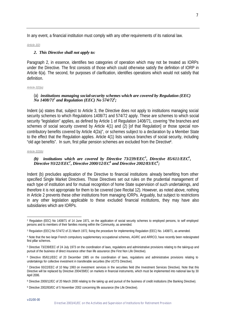In any event, a financial institution must comply with any other requirements of its national law.

#### *Article 2(2)*

#### *2. This Directive shall not apply to:*

Paragraph 2, in essence, identifies two categories of operation which may not be treated as IORPs under the Directive. The first consists of those which could otherwise satisfy the definition of IORP in Article 6(a). The second, for purposes of clarification, identifies operations which would not satisfy that definition.

#### *Article 2(2)(a)*

#### (a) *institutions managing social-security schemes which are covered by Regulation (EEC) No 1408/71<sup>2</sup> and Regulation (EEC) No 574/72<sup>3</sup> ;*

Indent (a) states that, subject to Article 3, the Directive does not apply to institutions managing social security schemes to which Regulations 1408/71 and 574/72 apply. These are schemes to which social security "legislation" applies, as defined by Article 1 of Regulation 1408/71, covering "the branches and schemes of social security covered by Article 4(1) and (2) [of that Regulation] or those special noncontributory benefits covered by Article 4(2a)", or schemes subject to a declaration by a Member State to the effect that the Regulation applies. Article 4(1) lists various branches of social security, including "old age benefits". In sum, first pillar pension schemes are excluded from the Directive<sup>4</sup> .

#### *Article 2(2)(b)*

l

# *(b) institutions which are covered by Directive 73/239/EEC<sup>5</sup> , Directive 85/611/EEC<sup>6</sup> , Directive 93/22/EEC<sup>7</sup> , Directive 2000/12/EC<sup>8</sup> and Directive 2002/83/EC<sup>9</sup> ;*

Indent (b) precludes application of the Directive to financial institutions already benefiting from other specified Single Market Directives. Those Directives set out rules on the prudential management of each type of institution and for mutual recognition of home State supervision of such undertakings, and therefore it is not appropriate for them to be covered (see Recital 12). However, as noted above, nothing in Article 2 prevents these other institutions from managing IORPs. Arguably, but subject to restrictions in any other legislation applicable to these excluded financial institutions, they may have also subsidiaries which are IORPs.

<sup>2</sup> Regulation (EEC) No 1408/71 of 14 June 1971, on the application of social security schemes to employed persons, to self employed persons and to members of their families moving within the Community, as amended.

<sup>3</sup> Regulation (EEC) No 574/72 of 21 March 1972, fixing the procedure for implementing Regulation (EEC) No. 1408/71, as amended.

<sup>4</sup> Note that the two large French compulsory supplementary occupational schemes, AGIRC and ARRCO, have recently been redesignated first pillar schemes.

<sup>5</sup> Directive 73/239/EEC of 24 July 1973 on the coordination of laws, regulations and administrative provisions relating to the taking-up and pursuit of the business of direct insurance other than life assurance (the First Non Life Directive).

<sup>6</sup> Directive 85/611/EEC of 20 December 1985 on the coordination of laws, regulations and administrative provisions relating to undertakings for collective investment in transferable securities (the UCITS Directive).

<sup>7</sup> Directive 93/22/EEC of 10 May 1993 on investment services in the securities field (the Investment Services Directive). Note that this Directive will be replaced by Directive 2004/39/EC on markets in financial instruments, which must be implemented into national law by 30 April 2006.

<sup>8</sup> Directive 2000/12/EC of 20 March 2000 relating to the taking up and pursuit of the business of credit institutions (the Banking Directive).

<sup>9</sup> Directive 2002/83/EC of 5 November 2002 concerning life assurance (the Life Directive).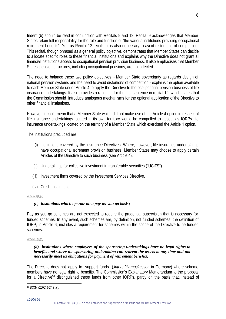Indent (b) should be read in conjunction with Recitals 9 and 12. Recital 9 acknowledges that Member States retain full responsibility for the role and function of "the various institutions providing occupational retirement benefits". Yet, as Recital 12 recalls, it is also necessary to avoid distortions of competition. This recital, though phrased as a general policy objective, demonstrates that Member States can decide to allocate specific roles to these financial institutions and explains why the Directive does not grant all financial institutions access to occupational pension provision business. It also emphasises that Member States' pension structures, including occupational pensions, are not affected.

The need to balance these two policy objectives - Member State sovereignty as regards design of national pension systems and the need to avoid distortions of competition - explains the option available to each Member State under Article 4 to apply the Directive to the occupational pension business of life insurance undertakings. It also provides a rationale for the last sentence in recital 12, which states that the Commission should introduce analogous mechanisms for the optional application of the Directive to other financial institutions.

However, it could mean that a Member State which did not make use of the Article 4 option in respect of life insurance undertakings located in its own territory would be compelled to accept as IORPs life insurance undertakings located on the territory of a Member State which exercised the Article 4 option.

The institutions precluded are:

- (i) institutions covered by the insurance Directives. Where, however, life insurance undertakings have occupational retirement provision business, Member States may choose to apply certain Articles of the Directive to such business (see Article 4).
- (ii) Undertakings for collective investment in transferable securities ("UCITS").
- (iii) Investment firms covered by the Investment Services Directive.
- (iv) Credit institutions.

# *Article 2(2)(c)*

# *(c) institutions which operate on a pay-as-you-go basis;*

Pay as you go schemes are not expected to require the prudential supervision that is necessary for funded schemes. In any event, such schemes are, by definition, not funded schemes; the definition of IORP, in Article 6, includes a requirement for schemes within the scope of the Directive to be funded schemes.

#### *Article 2(2)(d)*

#### *(d) institutions where employees of the sponsoring undertakings have no legal rights to benefits and where the sponsoring undertaking can redeem the assets at any time and not necessarily meet its obligations for payment of retirement benefits;*

The Directive does not apply to "support funds" (*Unterstützungskassen* in Germany) where scheme members have no legal right to benefits. The Commission's Explanatory Memorandum to the proposal for a Directive<sup>10</sup> distinguished these funds from other IORPs, partly on the basis that, instead of

l <sup>10</sup> (COM (2000) 507 final).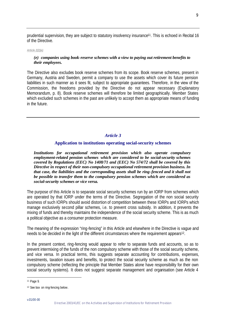prudential supervision, they are subject to statutory insolvency insurance<sup>11</sup>. This is echoed in Recital 16 of the Directive.

#### *Article 2(2)(e)*

# *(e) companies using book-reserve schemes with a view to paying out retirement benefits to their employees.*

The Directive also excludes book reserve schemes from its scope. Book reserve schemes, present in Germany, Austria and Sweden, permit a company to use the assets which cover its future pension liabilities in such manner as it sees fit, subject to appropriate guarantees. Therefore, in the view of the Commission, the freedoms provided by the Directive do not appear necessary (Explanatory Memorandum, p. 8). Book reserve schemes will therefore be limited geographically. Member States which excluded such schemes in the past are unlikely to accept them as appropriate means of funding in the future.

# *Article 3*

## **Application to institutions operating social-security schemes**

*Institutions for occupational retirement provision which also operate compulsory employment-related pension schemes which are considered to be social-security schemes covered by Regulations (EEC) No 1408/71 and (EEC) No 574/72 shall be covered by this Directive in respect of their non-compulsory occupational retirement provision business. In that case, the liabilities and the corresponding assets shall be ring-fenced and it shall not be possible to transfer them to the compulsory pension schemes which are considered as social-security schemes or vice versa.*

The purpose of this Article is to separate social security schemes run by an IORP from schemes which are operated by that IORP under the terms of the Directive. Segregation of the non social security business of such IORPs should avoid distortion of competition between these IORPs and IORPs which manage exclusively second pillar schemes, i.e. to prevent cross subsidy. In addition, it prevents the mixing of funds and thereby maintains the independence of the social security scheme. This is as much a political objective as a consumer protection measure.

The meaning of the expression "ring-fencing" in this Article and elsewhere in the Directive is vague and needs to be decided in the light of the different circumstances where the requirement appears<sup>12</sup>.

In the present context, ring-fencing would appear to refer to separate funds and accounts, so as to prevent intermixing of the funds of the non compulsory scheme with those of the social security scheme, and vice versa. In practical terms, this suggests separate accounting for contributions, expenses, investments, taxation issues and benefits, to protect the social security scheme as much as the non compulsory scheme (reflecting the principle that Member States alone have responsibility for their own social security systems). It does not suggest separate management and organisation (see Article 4

<sup>11</sup> Page 9.

<sup>12</sup> See box on ring-fencing below.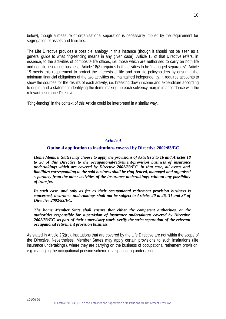below), though a measure of organisational separation is necessarily implied by the requirement for segregation of assets and liabilities.

The Life Directive provides a possible analogy in this instance (though it should not be seen as a general guide to what ring-fencing means in any given case). Article 18 of that Directive refers, in essence, to the activities of composite life offices, i.e. those which are authorised to carry on both life and non life insurance business. Article 18(3) requires both activities to be "managed separately". Article 19 meets this requirement to protect the interests of life and non life policyholders by ensuring the minimum financial obligations of the two activities are maintained independently. It requires accounts to show the sources for the results of each activity, i.e. breaking down income and expenditure according to origin; and a statement identifying the items making up each solvency margin in accordance with the relevant insurance Directives.

"Ring-fencing" in the context of this Article could be interpreted in a similar way.

# *Article 4*

# **Optional application to institutions covered by Directive 2002/83/EC**

*Home Member States may choose to apply the provisions of Articles 9 to 16 and Articles 18 to 20 of this Directive to the occupational-retirement-provision business of insurance undertakings which are covered by Directive 2002/83/EC. In that case, all assets and liabilities corresponding to the said business shall be ring-fenced, managed and organised separately from the other activities of the insurance undertakings, without any possibility of transfer.*

*In such case, and only as far as their occupational retirement provision business is concerned, insurance undertakings shall not be subject to Articles 20 to 26, 31 and 36 of Directive 2002/83/EC.*

*The home Member State shall ensure that either the competent authorities, or the authorities responsible for supervision of insurance undertakings covered by Directive 2002/83/EC, as part of their supervisory work, verify the strict separation of the relevant occupational retirement provision business.*

As stated in Article 2(2)(b), institutions that are covered by the Life Directive are not within the scope of the Directive. Nevertheless, Member States may apply certain provisions to such institutions (life insurance undertakings), where they are carrying on the business of occupational retirement provision, e.g. managing the occupational pension scheme of a sponsoring undertaking.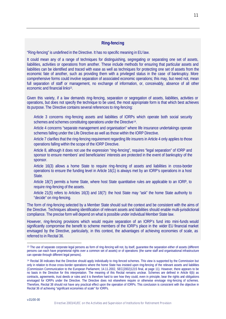# **Ring-fencing**

"Ring-fencing" is undefined in the Directive. It has no specific meaning in EU law.

It could mean any of a range of techniques for distinguishing, segregating or separating one set of assets, liabilities, activities or operations from another. These include methods for ensuring that particular assets and liabilities can be identified and traced with ease as well as techniques for protecting one set of assets from the economic fate of another, such as providing them with a privileged status in the case of bankruptcy. More comprehensive forms could involve separation of associated economic operations; this may, but need not, mean full separation of staff or management, no exchange of information, or, conceivably, absence of all other economic and financial links<sup>13</sup>.

Given this variety, if a law demands ring-fencing, separation or segregation of assets, liabilities, activities or operations, but does not specify the technique to be used, the most appropriate form is that which best achieves its purpose. The Directive contains several references to ring-fencing:

- Article 3 concerns ring-fencing assets and liabilities of IORPs which operate both social security schemes and schemes constituting operations under the Directive<sup>14</sup>.
- Article 4 concerns "separate management and organisation" where life insurance undertakings operate schemes falling under the Life Directive as well as those within the IORP Directive.
- Article 7 clarifies that the ring-fencing requirement regarding life insurers in Article 4 only applies to those operations falling within the scope of the IORP Directive.
- Article 8, although it does not use the expression "ring-fencing", requires "legal separation" of IORP and sponsor to ensure members' and beneficiaries' interests are protected in the event of bankruptcy of the sponsor.
- Article 16(3) allows a home State to require ring-fencing of assets and liabilities in cross-border operations to ensure the funding level in Article 16(1) is always met by an IORP's operations in a host State.
- Article 18(7) permits a home State, where host State quantitative rules are applicable to an IORP, to require ring-fencing of the assets.
- Article 21(5) refers to Articles 16(3) and 18(7): the host State may "ask" the home State authority to "decide" on ring-fencing.

The form of ring-fencing selected by a Member State should suit the context and be consistent with the aims of the Directive. Techniques allowing identification of relevant assets and liabilities should enable multi-jurisdictional compliance. The precise form will depend on what is possible under individual Member State law.

However, ring-fencing provisions which would require separation of an IORP's fund into mini-funds would significantly compromise the benefit to scheme members of the IORP's place in the wider EU financial market envisaged by the Directive, particularly, in this context, the advantages of achieving economies of scale, as referred to in Recital 36.

<sup>13</sup> The use of separate corporate legal persons as form of ring-fencing will not, by itself, guarantee the separation either of assets (different persons can each have proprietorial rights over a common set of assets) or of operations (the same staff and organisational infrastructure can operate through different legal persons).

<sup>14</sup> Recital 38 indicates that the Directive should apply individually to ring-fenced schemes. This view is supported by the Commission but only in relation to those cross-border operations where the home State has insisted upon ring-fencing of the relevant assets and liabilities (Commission Communication to the European Parliament, 14.11.2002, SEC(2002)1215 final, at page 11). However, there appears to be no basis in the Directive for this interpretation. The meaning of this Recital remains unclear. Schemes are defined in Article 6(b) as contracts, agreements, trust deeds or rules and it is therefore hard to see how they could, even in principle, bear the rights and obligations envisaged for IORPs under the Directive. The Directive does not elsewhere require or otherwise envisage ring-fencing of schemes. Therefore, Recital 38 should not have any practical effect upon the operation of IORPs. This conclusion is consistent with the objective in Recital 36 of achieving "significant economies of scale" for IORPs.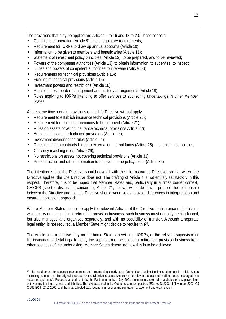The provisions that may be applied are Articles 9 to 16 and 18 to 20. These concern:

- Conditions of operation (Article 9): basic regulatory requirements;
- Requirement for IORPs to draw up annual accounts (Article 10);
- Information to be given to members and beneficiaries (Article 11);
- Statement of investment policy principles (Article 12): to be prepared, and to be reviewed;
- Powers of the competent authorities (Article 13): to obtain information, to supervise, to inspect;
- Duties and powers of competent authorities to intervene (Article 14);
- Requirements for technical provisions (Article 15);
- Funding of technical provisions (Article 16);
- Investment powers and restrictions (Article 18);
- Rules on cross border management and custody arrangements (Article 19);
- Rules applying to IORPs intending to offer services to sponsoring undertakings in other Member States.

At the same time, certain provisions of the Life Directive will not apply:

- Requirement to establish insurance technical provisions (Article 20);
- Requirement for insurance premiums to be sufficient (Article 21);
- Rules on assets covering insurance technical provisions Article 22);
- Authorised assets for technical provisions (Article 23);
- Investment diversification rules (Article 24);
- Rules relating to contracts linked to external or internal funds (Article 25) i.e. unit linked policies;
- Currency matching rules (Article 26);
- No restrictions on assets not covering technical provisions (Article 31);
- Precontractual and other information to be given to the policyholder (Article 36).

The intention is that the Directive should dovetail with the Life Insurance Directive, so that where the Directive applies, the Life Directive does not. The drafting of Article 4 is not entirely satisfactory in this respect. Therefore, it is to be hoped that Member States and, particularly in a cross border context, CEIOPS (see the discussion concerning Article 21, below), will state how in practice the relationship between the Directive and the Life Directive should work, so as to avoid differences in interpretation and ensure a consistent approach.

Where Member States choose to apply the relevant Articles of the Directive to insurance undertakings which carry on occupational retirement provision business, such business must not only be ring-fenced, but also managed and organised separately, and with no possibility of transfer. Although a separate legal entity is not required, a Member State might decide to require this<sup>15</sup>.

The Article puts a positive duty on the home State supervisor of IORPs, or the relevant supervisor for life insurance undertakings, to verify the separation of occupational retirement provision business from other business of the undertaking. Member States determine how this is to be achieved.

l <sup>15</sup> The requirement for separate management and organisation clearly goes further than the ring-fencing requirement in Article 3. It is interesting to note that the original proposal for the Directive required (Article 4) the relevant assets and liabilities to be "managed in a separate legal entity". Proposed amendments by the Parliament in its 4 July 2001 amendments referred to a choice of a separate legal entity or ring-fencing of assets and liabilities. The text as settled in the Council's common position, (EC) No 62/2002 of November 2002, OJ C 299 E/16, 03.12.2002, and the final, adopted text, require ring-fencing and separate management and organisation.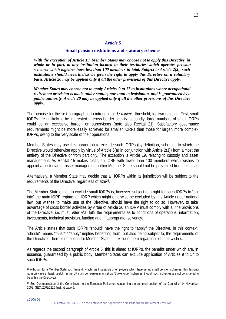#### *Article 5*

#### **Small pension institutions and statutory schemes**

*With the exception of Article 19, Member States may choose not to apply this Directive, in whole or in part, to any institution located in their territories which operates pension schemes which together have less than 100 members in total. Subject to Article 2(2), such institutions should nevertheless be given the right to apply this Directive on a voluntary basis. Article 20 may be applied only if all the other provisions of this Directive apply.*

*Member States may choose not to apply Articles 9 to 17 to institutions where occupational retirement provision is made under statute, pursuant to legislation, and is guaranteed by a public authority. Article 20 may be applied only if all the other provisions of this Directive apply.*

The premise for the first paragraph is to introduce a *de minimis* threshold, for two reasons. First, small IORPs are unlikely to be interested in cross border activity; secondly, large numbers of small IORPs could be an excessive burden on supervisors (note also Recital 21). Satisfactory governance requirements might be more easily achieved for smaller IORPs than those for larger, more complex IORPs, owing to the very scale of their operations.

Member States may use this paragraph to exclude such IORPs (by definition, schemes to which the Directive would otherwise apply by virtue of Article 6(a) in conjunction with Article 2(1)) from almost the entirety of the Directive or from part only. The exception is Article 19, relating to custody and asset management. As Recital 15 makes clear, an IORP with fewer than 100 members which wishes to appoint a custodian or asset manager in another Member State should not be prevented from doing so.

Alternatively, a Member State may decide that all IORPs within its jurisdiction will be subject to the requirements of the Directive, regardless of size<sup>16</sup>.

The Member State option to exclude small IORPs is, however, subject to a right for such IORPs to "opt into" the main IORP regime: an IORP which might otherwise be excluded by this Article under national law, but wishes to make use of the Directive, should have the right to do so. However, to take advantage of cross border activities by virtue of Article 20 an IORP must comply with all the provisions of the Directive, i.e. must, *inter alia*, fulfil the requirements as to conditions of operations, information, investments, technical provision, funding and, if appropriate, solvency.

The Article states that such IORPs "should" have the right to "apply" the Directive. In this context, "should" means "must"17 "apply" implies benefiting from, but also being subject to, the requirements of the Directive. There is no option for Member States to exclude them regardless of their wishes.

As regards the second paragraph of Article 5, this is aimed at IORPs, the benefits under which are, in essence, guaranteed by a public body. Member States can exclude application of Articles 9 to 17 to such IORPs.

<sup>&</sup>lt;sup>16</sup> Although for a Member State such Ireland, which has thousands of employers which have set up small pension schemes, this flexibility is, in principle at least, useful. (In the UK such companies may set up "Stakeholder" schemes, though such schemes are not considered to be within the Directive.)

<sup>17</sup> See Communication of the Commission to the European Parliament concerning the common position of the Council of 14 November 2002, SEC /2002/1215 final, at page 5.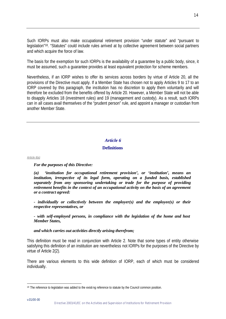Such IORPs must also make occupational retirement provision "under statute" and "pursuant to legislation"<sup>18</sup>. "Statutes" could include rules arrived at by collective agreement between social partners and which acquire the force of law.

The basis for the exemption for such IORPs is the availability of a guarantee by a public body, since, it must be assumed, such a guarantee provides at least equivalent protection for scheme members.

Nevertheless, if an IORP wishes to offer its services across borders by virtue of Article 20, all the provisions of the Directive must apply. If a Member State has chosen not to apply Articles 9 to 17 to an IORP covered by this paragraph, the institution has no discretion to apply them voluntarily and will therefore be excluded from the benefits offered by Article 20. However, a Member State will not be able to disapply Articles 18 (investment rules) and 19 (management and custody). As a result, such IORPs can in all cases avail themselves of the "prudent person" rule, and appoint a manager or custodian from another Member State.

# *Article 6*

# **Definitions**

*Article 6(a)*

*For the purposes of this Directive:*

*(a) 'institution for occupational retirement provision', or 'institution', means an institution, irrespective of its legal form, operating on a funded basis, established separately from any sponsoring undertaking or trade for the purpose of providing retirement benefits in the context of an occupational activity on the basis of an agreement or a contract agreed:*

*- individually or collectively between the employer(s) and the employee(s) or their respective representatives, or*

*- with self-employed persons, in compliance with the legislation of the home and host Member States,*

*and which carries out activities directly arising therefrom;*

This definition must be read in conjunction with Article 2. Note that some types of entity otherwise satisfying this definition of an institution are nevertheless not IORPs for the purposes of the Directive by virtue of Article 2(2).

There are various elements to this wide definition of IORP, each of which must be considered individually.

l 18 The reference to legislation was added to the existing reference to statute by the Council common position.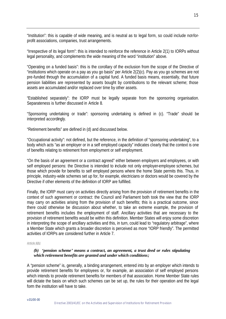"Institution": this is capable of wide meaning, and is neutral as to legal form, so could include not-forprofit associations, companies, trust arrangements.

"Irrespective of its legal form": this is intended to reinforce the reference in Article 2(1) to IORPs without legal personality, and complements the wide meaning of the word "institution" above.

"Operating on a funded basis": this is the corollary of the exclusion from the scope of the Directive of "institutions which operate on a pay as you go basis" per Article 2(2)(c). Pay as you go schemes are not pre-funded through the accumulation of a capital fund. A funded basis means, essentially, that future pension liabilities are represented by assets bought by contributions to the relevant scheme; those assets are accumulated and/or replaced over time by other assets.

"Established separately": the IORP must be legally separate from the sponsoring organisation. Separateness is further discussed in Article 8.

"Sponsoring undertaking or trade": sponsoring undertaking is defined in (c). "Trade" should be interpreted accordingly.

"Retirement benefits" are defined in (d) and discussed below.

"Occupational activity": not defined, but the reference, in the definition of "sponsoring undertaking", to a body which acts "as an employer or in a self employed capacity" indicates clearly that the context is one of benefits relating to retirement from employment or self employment.

"On the basis of an agreement or a contract agreed" either between employers and employees, or with self employed persons: the Directive is intended to include not only employer-employee schemes, but those which provide for benefits to self employed persons where the home State permits this. Thus, in principle, industry-wide schemes set up for, for example, electricians or doctors would be covered by the Directive if other elements of the definition of IORP are fulfilled.

Finally, the IORP must carry on activities directly arising from the provision of retirement benefits in the context of such agreement or contract: the Council and Parliament both took the view that the IORP may carry on activities arising from the provision of such benefits; this is a practical outcome, since there could otherwise be discussion about whether, to take an extreme example, the provision of retirement benefits includes the employment of staff. Ancillary activities that are necessary to the provision of retirement benefits would be within this definition. Member States will enjoy some discretion in interpreting the scope of ancillary activities and this, in turn, could lead to "regulatory arbitrage", where a Member State which grants a broader discretion is perceived as more "IORP friendly". The permitted activities of IORPs are considered further in Article 7.

# *Article 6(b)*

## *(b) 'pension scheme' means a contract, an agreement, a trust deed or rules stipulating which retirement benefits are granted and under which conditions;*

A "pension scheme" is, generally, a binding arrangement, entered into by an employer which intends to provide retirement benefits for employees or, for example, an association of self employed persons which intends to provide retirement benefits for members of that association. Home Member State rules will dictate the basis on which such schemes can be set up, the rules for their operation and the legal form the institution will have to take.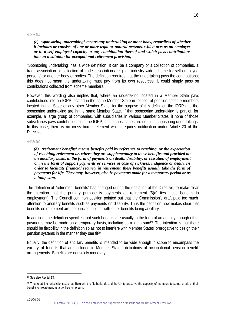#### *Article 6(c)*

#### *(c) 'sponsoring undertaking' means any undertaking or other body, regardless of whether it includes or consists of one or more legal or natural persons, which acts as an employer or in a self-employed capacity or any combination thereof and which pays contributions into an institution for occupational retirement provision;*

"Sponsoring undertaking" has a wide definition. It can be a company or a collection of companies, a trade association or collection of trade associations (e.g. an industry-wide scheme for self employed persons) or another body or bodies. The definition requires that the undertaking pays the contributions; this does not mean the undertaking must pay from its own resources; it could simply pass on contributions collected from scheme members.

However, this wording also implies that, where an undertaking located in a Member State pays contributions into an IORP located in the same Member State in respect of pension scheme members located in that State or any other Member State, for the purpose of this definition the IORP and the sponsoring undertaking are in the same Member State. If that sponsoring undertaking is part of, for example, a large group of companies, with subsidiaries in various Member States, if none of those subsidiaries pays contributions into the IORP, those subsidiaries are not also sponsoring undertakings. In this case, there is no cross border element which requires notification under Article 20 of the **Directive** 

#### *Article 6(d)*

*(d) 'retirement benefits' means benefits paid by reference to reaching, or the expectation of reaching, retirement or, where they are supplementary to those benefits and provided on an ancillary basis, in the form of payments on death, disability, or cessation of employment or in the form of support payments or services in case of sickness, indigence or death. In order to facilitate financial security in retirement, these benefits usually take the form of payments for life. They may, however, also be payments made for a temporary period or as a lump sum.*

The definition of "retirement benefits" has changed during the gestation of the Directive, to make clear the intention that the primary purpose is payments on retirement (6(a) ties these benefits to employment). The Council common position pointed out that the Commission's draft paid too much attention to ancillary benefits such as payments on disability. Thus the definition now makes clear that benefits on retirement are the principal object, with other benefits being ancillary.

In addition, the definition specifies that such benefits are usually in the form of an annuity, though other payments may be made on a temporary basis, including as a lump sum<sup>19</sup>. The intention is that there should be flexib ility in the definition so as not to interfere with Member States' prerogative to design their pension systems in the manner they see fit<sup>20</sup>.

Equally, the definition of ancillary benefits is intended to be wide enough in scope to encompass the variety of benefits that are included in Member States' definitions of occupational pension benefit arrangements. Benefits are not solely monetary.

<sup>19</sup> See also Recital 13.

<sup>&</sup>lt;sup>20</sup> Thus enabling jurisdictions such as Belgium, the Netherlands and the UK to preserve the capacity of members to some, or all, of their benefits on retirement as a tax free lump sum.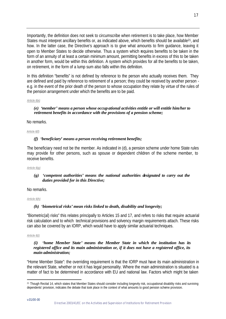Importantly, the definition does not seek to circumscribe when retirement is to take place, how Member States must interpret ancillary benefits or, as indicated above, which benefits should be available<sup>21</sup>, and how. In the latter case, the Directive's approach is to give what amounts to firm guidance, leaving it open to Member States to decide otherwise. Thus a system which requires benefits to be taken in the form of an annuity of at least a certain minimum amount, permitting benefits in excess of this to be taken in another form, would be within this definition. A system which provides for all the benefits to be taken, on retirement, in the form of a lump sum also falls within this definition.

In this definition "benefits" is not defined by reference to the person who actually receives them. They are defined and paid by reference to retirement of a person; they could be received by another person e.g. in the event of the prior death of the person to whose occupation they relate by virtue of the rules of the pension arrangement under which the benefits are to be paid.

#### *Article 6(e)*

## *(e) 'member' means a person whose occupational activities entitle or will entitle him/her to retirement benefits in accordance with the provisions of a pension scheme;*

No remarks.

#### *Article 6(f)*

# *(f) 'beneficiary' means a person receiving retirement benefits;*

The beneficiary need not be the member. As indicated in (d), a pension scheme under home State rules may provide for other persons, such as spouse or dependent children of the scheme member, to receive benefits.

#### *Article 6(g)*

# *(g) 'competent authorities' means the national authorities designated to carry out the duties provided for in this Directive;*

No remarks.

*Article 6(h)*

# *(h) 'biometrical risks' mean risks linked to death, disability and longevity;*

"Biometric(al) risks" this relates principally to Articles 15 and 17, and refers to risks that require actuarial risk calculation and to which technical provisions and solvency margin requirements attach. These risks can also be covered by an IORP, which would have to apply similar actuarial techniques.

#### *Article 6(i)*

# *(i) 'home Member State' means the Member State in which the institution has its registered office and its main administration or, if it does not have a registered office, its main administration;*

"Home Member State": the overriding requirement is that the IORP must have its main administration in the relevant State, whether or not it has legal personality. Where the main administration is situated is a matter of fact to be determined in accordance with EU and national law. Factors which might be taken

<sup>&</sup>lt;sup>21</sup> Though Recital 14, which states that Member States should consider including longevity risk, occupational disability risks and surviving dependents' provision, indicates the debate that took place in the context of what amounts to good pension scheme provision.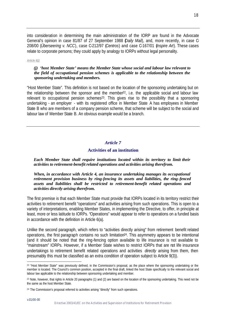into consideration in determining the main administration of the IORP are found in the Advocate General's opinion in case 81/87 of 27 September 1988 (*Daily Mail*), and, more recently, in case C-208/00 (*Überseering v. NCC*), case C-212/97 (*Centros*) and case C-167/01 (*Inspire Art*). These cases relate to corporate persons; they could apply by analogy to IORPs without legal personality.

*Article 6(j)*

# *(j) 'host Member State' means the Member State whose social and labour law relevant to the field of occupational pension schemes is applicable to the relationship between the sponsoring undertaking and members.*

"Host Member State". This definition is not based on the location of the sponsoring undertaking but on the relationship between the sponsor and the member $22$ , i.e. the applicable social and labour law relevant to occupational pension schemes<sup>23</sup>. This gives rise to the possibility that a sponsoring undertaking - an employer - with its registered office in Member State A has employees in Member State B who are members of a company pension scheme, that scheme will be subject to the social and labour law of Member State B. An obvious example would be a branch.

# *Article 7*

# **Activities of an institution**

*Each Member State shall require institutions located within its territory to limit their activities to retirement-benefit related operations and activities arising therefrom.*

## *When, in accordance with Article 4, an insurance undertaking manages its occupational retirement provision business by ring-fencing its assets and liabilities, the ring-fenced assets and liabilities shall be restricted to retirement-benefit related operations and activities directly arising therefrom.*

The first premise is that each Member State must provide that IORPs located in its territory restrict their activities to retirement benefit "operations" and activities arising from such operations. This is open to a variety of interpretations, enabling Member States, in implementing the Directive, to offer, in principle at least, more or less latitude to IORPs. "Operations" would appear to refer to operations on a funded basis in accordance with the definition in Article 6(a).

Unlike the second paragraph, which refers to "activities directly arising" from retirement benefit related operations, the first paragraph contains no such limitation24. This asymmetry appears to be intentional (and it should be noted that the ring-fencing option available to life insurance is not available to "mainstream" IORPs. However, if a Member State wishes to restrict IORPs that are not life insurance undertakings to retirement benefit related operations and activities *directly* arising from them, then presumably this must be classified as an extra condition of operation subject to Article 9(3)).

l <sup>22</sup> "Host Member State" was previously defined, in the Commission's proposal, as the place where the sponsoring undertaking or the member is located. The Council's common position, accepted in the final draft, linked the host State specifically to the relevant social and labour law applicable to the relationship between sponsoring undertaking and member.

<sup>23</sup> Note, however, that rights in Article 20 paragraphs (1) and (2) are based on the location of the sponsoring undertaking. This need not be the same as the host Member State.

<sup>&</sup>lt;sup>24</sup> The Commission's proposal referred to activities arising "directly" from such operations.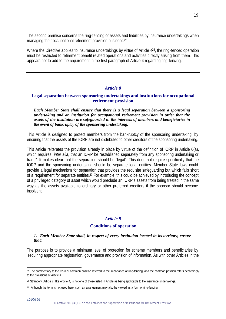The second premise concerns the ring-fencing of assets and liabilities by insurance undertakings when managing their occupational retirement provision business.<sup>25</sup>

Where the Directive applies to insurance undertakings by virtue of Article 4<sup>26</sup>, the ring-fenced operation must be restricted to retirement benefit related operations and activities directly arising from them. This appears not to add to the requirement in the first paragraph of Article 4 regarding ring-fencing.

# *Article 8*

# **Legal separation between sponsoring undertakings and institutions for occupational retirement provision**

*Each Member State shall ensure that there is a legal separation between a sponsoring undertaking and an institution for occupational retirement provision in order that the assets of the institution are safeguarded in the interests of members and beneficiaries in the event of bankruptcy of the sponsoring undertaking.* 

This Article is designed to protect members from the bankruptcy of the sponsoring undertaking, by ensuring that the assets of the IORP are not distributed to other creditors of the sponsoring undertaking.

This Article reiterates the provision already in place by virtue of the definition of IORP in Article 6(a), which requires, *inter alia*, that an IORP be "established separately from any sponsoring undertaking or trade". It makes clear that the separation should be "legal". This does not require specifically that the IORP and the sponsoring undertaking should be separate legal entities. Member State laws could provide a legal mechanism for separation that provides the requisite safeguarding but which falls short of a requirement for separate entities.<sup>27</sup> For example, this could be achieved by introducing the concept of a privileged category of asset which would preclude an IORP's assets from being treated in the same way as the assets available to ordinary or other preferred creditors if the sponsor should become insolvent.

# *Article 9*

#### **Conditions of operation**

#### *1. Each Member State shall, in respect of every institution located in its territory, ensure that:*

The purpose is to provide a minimum level of protection for scheme members and beneficiaries by requiring appropriate registration, governance and provision of information. As with other Articles in the

<sup>&</sup>lt;sup>25</sup> The commentary to the Council common position referred to the importance of ring-fencing, and the common position refers accordingly to the provisions of Article 4.

<sup>26</sup> Strangely, Article 7, like Article 4, is not one of those listed in Article as being applicable to life insurance undertakings.

<sup>&</sup>lt;sup>27</sup> Although the term is not used here, such an arrangement may also be viewed as a form of ring-fencing.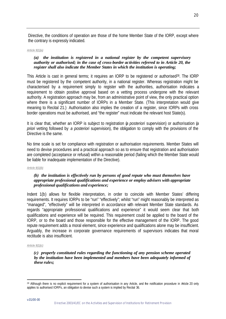Directive, the conditions of operation are those of the home Member State of the IORP, except where the contrary is expressly indicated.

#### *Article 9(1)(a)*

# *(a) the institution is registered in a national register by the competent supervisory authority or authorised; in the case of cross-border activities referred to in Article 20, the register shall also indicate the Member States in which the institution is operating;*

This Article is cast in general terms; it requires an IORP to be registered or authorised<sup>28</sup>. The IORP must be registered by the competent authority, in a national register. Whereas registration might be characterised by a requirement simply to register with the authorities, authorisation indicates a requirement to obtain positive approval based on a vetting process undergone with the relevant authority. A registration approach may be, from an administrative point of view, the only practical option where there is a significant number of IORPs in a Member State. (This interpretation would give meaning to Recital 21.) Authorisation also implies the creation of a register, since IORPs with cross border operations must be authorised, and "the register" must indicate the relevant host State(s).

It is clear that, whether an IORP is subject to registration (*a posteriori* supervision) or authorisation (*a priori* vetting followed by *a posteriori* supervision), the obligation to comply with the provisions of the Directive is the same.

No time scale is set for compliance with registration or authorisation requirements. Member States will need to devise procedures and a practical approach so as to ensure that registration and authorisation are completed (acceptance or refusal) within a reasonable period (failing which the Member State would be liable for inadequate implementation of the Directive).

#### *Article 9(1)(b)*

### *(b) the institution is effectively run by persons of good repute who must themselves have appropriate professional qualifications and experience or employ advisers with appropriate professional qualifications and experience;*

Indent 1(b) allows for flexible interpretation, in order to coincide with Member States' differing requirements. It requires IORPs to be "run" "effectively"; whilst "run" might reasonably be interpreted as "managed", "effectively" will be interpreted in accordance with relevant Member State standards. As regards "appropriate professional qualifications and experience" it would seem clear that both qualifications and experience will be required. This requirement could be applied to the board of the IORP, or to the board and those responsible for the effective management of the IORP. The good repute requirement adds a moral element, since experience and qualifications alone may be insufficient. Arguably, the increase in corporate governance requirements of supervisors indicates that moral rectitude is also insufficient.

#### *Article 9(1)(c)*

#### *(c) properly constituted rules regarding the functioning of any pension scheme operated by the institution have been implemented and members have been adequately informed of these rules;*

<sup>&</sup>lt;sup>28</sup> Although there is no explicit requirement for a system of authorisation in any Article, and the notification procedure in Article 20 only applies to authorised IORPs, an obligation to devise such a system is implied by Recital 36.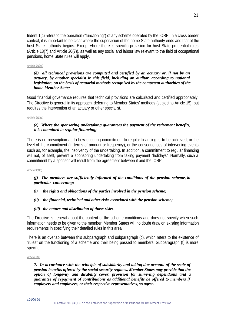Indent 1(c) refers to the operation ("functioning") of any scheme operated by the IORP. In a cross border context, it is important to be clear where the supervision of the home State authority ends and that of the host State authority begins. Except where there is specific provision for host State prudential rules (Article 18(7) and Article 20(7)), as well as any social and labour law relevant to the field of occupational pensions, home State rules will apply.

#### *Article 9(1)(d)*

#### *(d) all technical provisions are computed and certified by an actuary or, if not by an actuary, by another specialist in this field, including an auditor, according to national legislation, on the basis of actuarial methods recognised by the competent authorities of the home Member State;*

Good financial governance requires that technical provisions are calculated and certified appropriately. The Directive is general in its approach, deferring to Member States' methods (subject to Article 15), but requires the intervention of an actuary or other specialist.

#### *Article 9(1)(e)*

# *(e) Where the sponsoring undertaking guarantees the payment of the retirement benefits, it is committed to regular financing;*

There is no prescription as to how ensuring commitment to regular financing is to be achieved, or the level of the commitment (in terms of amount or frequency), or the consequences of intervening events such as, for example, the insolvency of the undertaking. In addition, a commitment to regular financing will not, of itself, prevent a sponsoring undertaking from taking payment "holidays" Normally, such a commitment by a sponsor will result from the agreement between it and the IORP.

*Article 9(1)(f)* 

# *(f) The members are sufficiently informed of the conditions of the pension scheme, in particular concerning:*

- *(i) the rights and obligations of the parties involved in the pension scheme;*
- *(ii) the financial, technical and other risks associated with the pension scheme;*
- *(iii) the nature and distribution of those risks.*

The Directive is general about the content of the scheme conditions and does not specify when such information needs to be given to the member. Member States will no doubt draw on existing information requirements in specifying their detailed rules in this area.

There is an overlap between this subparagraph and subparagraph (c), which refers to the existence of "rules" on the functioning of a scheme and their being passed to members. Subparagraph (f) is more specific.

*Article 9(2)*

*2. In accordance with the principle of subsidiarity and taking due account of the scale of pension benefits offered by the social-security regimes, Member States may provide that the option of longevity and disability cover, provision for surviving dependants and a guarantee of repayment of contributions as additional benefits be offered to members if employers and employees, or their respective representatives, so agree.*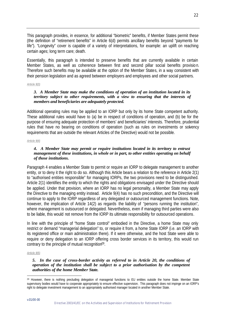This paragraph provides, in essence, for additional "biometric" benefits, if Member States permit these (the definition of "retirement benefits" in Article 6(d) permits ancillary benefits beyond "payments for life"). "Longevity" cover is capable of a variety of interpretations, for example: an uplift on reaching certain ages; long term care; death.

Essentially, this paragraph is intended to preserve benefits that are currently available in certain Member States, as well as coherence between first and second pillar social benefits provisio n. Therefore such benefits may be available at the option of the Member States, in a way consistent with their pension legislation and as agreed between employers and employees and other social partners.

#### *Article 9(3)*

# *3. A Member State may make the conditions of operation of an institution located in its territory subject to other requirements, with a view to ensuring that the interests of members and beneficiaries are adequately protected.*

Additional operating rules may be applied to an IORP but only by its home State competent authority. These additional rules would have to (a) be in respect of conditions of operation, and (b) be for the purpose of ensuring adequate protection of members' and beneficiaries' interests. Therefore, prudential rules that have no bearing on conditions of operation (such as rules on investments or solvency requirements that are outside the relevant Articles of the Directive) would not be possible.

#### *Article 9(4)*

# *4. A Member State may permit or require institutions located in its territory to entrust management of these institutions, in whole or in part, to other entities operating on behalf of those institutions.*

Paragraph 4 enables a Member State to permit or require an IORP to delegate management to another entity, or to deny it the right to do so. Although this Article bears a relation to the reference in Article 2(1) to "authorised entities responsible" for managing IORPs, the two provisions need to be distinguished. Article 2(1) identifies the entity to which the rights and obligations envisaged under the Directive should be applied. Under that provision, where an IORP has no legal personality, a Member State may apply the Directive to the managing entity instead. Article 9(4) has no such precondition, and the Directive will continue to apply to the IORP regardless of any delegated or outsourced management functions. Note, however, the implication of Article 14(2) as regards the liability of "persons running the institution", where management is outsourced or delegated. Nevertheless, even if managing third parties were also to be liable, this would not remove from the IORP its ultimate responsibility for outsourced operations.

In line with the principle of "home State control" embodied in the Directive, a home State may only restrict or demand "managerial delegation" to, or require it from, a home State IORP (i.e. an IORP with its registered office or main administration there). If it were otherwise, and the host State were able to require or deny delegation to an IORP offering cross border services in its territory, this would run contrary to the principle of mutual recognition<sup>29</sup>.

#### *Article 9(5)*

l

### *5. In the case of cross-border activity as referred to in Article 20, the conditions of operation of the institution shall be subject to a prior authorisation by the competent authorities of the home Member State.*

<sup>&</sup>lt;sup>29</sup> However, there is nothing precluding delegation of managerial functions to EU entities outside the home State. Member State supervisory bodies would have to cooperate appropriately to ensure effective supervision. This paragraph does not impinge on an IORP's right to delegate investment management to an appropriately authorised manager located in another Member State.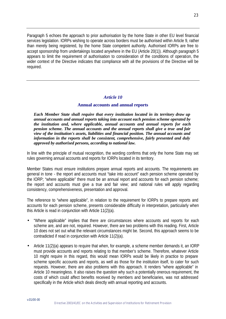Paragraph 5 echoes the approach to prior authorisation by the home State in other EU level financial services legislation. IORPs wishing to operate across borders must be authorised within Article 9, rather than merely being registered, by the home State competent authority. Authorised IORPs are free to accept sponsorship from undertakings located anywhere in the EU (Article 20(1)). Although paragraph 5 appears to limit the requirement of authorisation to consideration of the conditions of operation, the wider context of the Directive indicates that compliance with all the provisions of the Directive will be required.

# *Article 10*

# **Annual accounts and annual reports**

*Each Member State shall require that every institution located in its territory draw up annual accounts and annual reports taking into account each pension scheme operated by the institution and, where applicable, annual accounts and annual reports for each pension scheme. The annual accounts and the annual reports shall give a true and fair view of the institution's assets, liabilities and financial position. The annual accounts and information in the reports shall be consistent, comprehensive, fairly presented and duly approved by authorised persons, according to national law.*

In line with the principle of mutual recognition, the wording confirms that only the home State may set rules governing annual accounts and reports for IORPs located in its territory.

Member States must ensure institutions prepare annual reports and accounts. The requirements are general in tone - the report and accounts must "take into account" each pension scheme operated by the IORP; "where applicable" there must be an annual report and accounts for each pension scheme; the report and accounts must give a true and fair view; and national rules will apply regarding consistency, comprehensiveness, presentation and approval.

The reference to "where applicable", in relation to the requirement for IORPs to prepare reports and accounts for each pension scheme, presents considerable difficulty in interpretation, particularly when this Article is read in conjunction with Article 11(2)(a).

- "Where applicable" implies that there are circumstances where accounts and reports for each scheme are, and are not, required. However, there are two problems with this reading. First, Article 10 does not set out what the relevant circumstances might be. Second, this approach seems to be contradicted if read in conjunction with Article 11(2)(a).
- Article 11(2)(a) appears to require that when, for example, a scheme member demands it, an IORP must provide accounts and reports relating to that member's scheme. Therefore, whatever Article 10 might require in this regard, this would mean IORPs would be likely in practice to prepare scheme specific accounts and reports, as well as those for the institution itself, to cater for such requests. However, there are also problems with this approach. It renders "where applicable" in Article 10 meaningless. It also raises the question why such a potentially onerous requirement, the costs of which could affect benefits received by members and beneficiaries, was not addressed specifically in the Article which deals directly with annual reporting and accounts.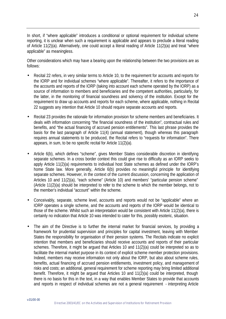In short, if "where applicable" introduces a conditional or optional requirement for individual scheme reporting, it is unclear when such a requirement is applicable and appears to preclude a literal reading of Article 11(2)(a). Alternatively, one could accept a literal reading of Article 11(2)(a) and treat "where applicable" as meaningless.

Other considerations which may have a bearing upon the relationship between the two provisions are as follows:

- Recital 22 refers, in very similar terms to Article 10, to the requirement for accounts and reports for the IORP and for individual schemes "where applicable". Thereafter, it refers to the importance of the accounts and reports of the IORP (taking into account each scheme operated by the IORP) as a source of information to members and beneficiaries and the competent authorities, particularly, for the latter, in the monitoring of financial soundness and solvency of the institution. Except for the requirement to draw up accounts and reports for each scheme, where applicable, nothing in Recital 22 suggests any intention that Article 10 should require separate accounts and reports.
- Recital 23 provides the rationale for information provision for scheme members and beneficiaries. It deals with information concerning "the financial soundness of the institution", contractual rules and benefits, and "the actual financing of accrued pension entitlements". This last phrase provides the basis for the last paragraph of Article 11(4) (annual statement), though whereas this paragraph requires annual statements to be produced, the Recital refers to "requests for information". There appears, in sum, to be no specific recital for Article 11(2)(a).
- Article 6(b), which defines "scheme", gives Member States considerable discretion in identifying separate schemes. In a cross border context this could give rise to difficulty as an IORP seeks to apply Article 11(2)(a) requirements to individual host State schemes as defined under the IORP's home State law. More generally, Article 6(b) provides no meaningful principle for identifying separate schemes. However, in the context of the current discussion, concerning the application of Articles 10 and 11(2)(a), "each scheme" (Article 10) and members' "particular pension scheme" (Article 11(2)(a) should be interpreted to refer to the scheme to which the member belongs, not to the member's individual "account" within the scheme.
- Conceivably, separate, scheme level, accounts and reports would not be "applicable" where an IORP operates a single scheme, and the accounts and reports of the IORP would be identical to those of the scheme. Whilst such an interpretation would be consistent with Article 11(2)(a), there is certainly no indication that Article 10 was intended to cater for this, possibly esoteric, situation.
- The aim of the Directive is to further the internal market for financial services, by providing a framework for prudential supervision and principles for capital investment, leaving with Member States the responsibility for organisation of their pension systems. The Recitals indicate no explicit intention that members and beneficiaries should receive accounts and reports of their particular schemes. Therefore, it might be argued that Articles 10 and 11(2)(a) could be interpreted so as to facilitate the internal market purpose in its context of explicit scheme member protection provisions. Indeed, members may receive information not only about the IORP, but also about scheme rules, benefits, actual financing of accrued pension entitlements, investment policy, and management of risks and costs; an additional, general requirement for scheme reporting may bring limited additional benefit. Therefore, it might be argued that Articles 10 and 11(2)(a) could be interpreted, though there is no basis for this in the text, in a way that enables Member States to provide that accounts and reports in respect of individual schemes are not a general requirement - interpreting Article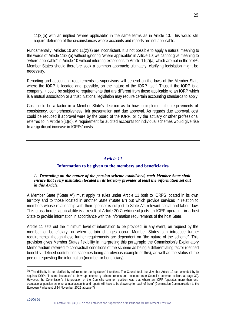11(2)(a) with an implied "where applicable" in the same terms as in Article 10. This would still require definition of the circumstances where accounts and reports are not applicable.

Fundamentally, Articles 10 and 11(2)(a) are inconsistent. It is not possible to apply a natural meaning to the words of Article 11(2)(a) without ignoring "where applicable" in Article 10; we cannot give meaning to "where applicable" in Article 10 without inferring exceptions to Article 11(2)(a) which are not in the text<sup>30</sup>. Member States should therefore seek a common approach; ultimately, clarifying legislation might be necessary.

Reporting and accounting requirements to supervisors will depend on the laws of the Member State where the IORP is located and, possibly, on the nature of the IORP itself. Thus, if the IORP is a company, it could be subject to requirements that are different from those applicable to an IORP which is a mutual association or a trust. National legislation may require certain accounting standards to apply.

Cost could be a factor in a Member State's decision as to how to implement the requirements of consistency, comprehensiveness, fair presentation and due approval. As regards due approval, cost could be reduced if approval were by the board of the IORP, or by the actuary or other professional referred to in Article 9(1)(d). A requirement for audited accounts for individual schemes would give rise to a significant increase in IORPs' costs.

# *Article 11*

# **Information to be given to the members and beneficiaries**

#### *1. Depending on the nature of the pension scheme established, each Member State shall ensure that every institution located in its territory provides at least the information set out in this Article.*

A Member State ("State A") must apply its rules under Article 11 both to IORPS located in its own territory and to those located in another State ("State B") but which provide services in relation to members whose relationship with their sponsor is subject to State A's relevant social and labour law. This cross border applicability is a result of Article 20(7) which subjects an IORP operating in a host State to provide information in accordance with the information requirements of the host State.

Article 11 sets out the minimum level of information to be provided, in any event, on request by the member or beneficiary, or when certain changes occur. Member States can introduce further requirements, though these further requirements are dependent on "the nature of the scheme". This provision gives Member States flexibility in interpreting this paragraph; the Commission's Explanatory Memorandum referred to contractual conditions of the scheme as being a differentiating factor (defined benefit v. defined contribution schemes being an obvious example of this), as well as the status of the person requesting the information (member or beneficiary).

<sup>&</sup>lt;sup>30</sup> The difficulty is not clarified by reference to the legislators' intentions. The Council took the view that Article 10 (as amended by it) requires IORPs "in some instances" to draw up scheme-by -scheme reports and accounts (see Council's common position, at page 32). However, the Commission's interpretation of the Council's common position was that where an IORP "operates more than one occupational pension scheme, annual accounts and reports will have to be drawn up for each of them" (Commission Communication to the European Parliament of 14 November 2002, at page 7).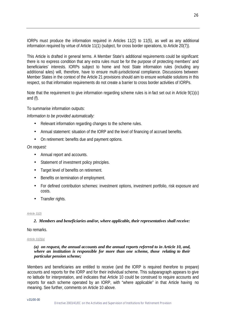IORPs must produce the information required in Articles 11(2) to 11(5), as well as any additional information required by virtue of Article 11(1) (subject, for cross border operations, to Article 20(7)).

This Article is drafted in general terms. A Member State's additional requirements could be significant: there is no express condition that any extra rules must be for the purpose of protecting members' and beneficiaries' interests. IORPs subject to home and host State information rules (including any additional rules) will, therefore, have to ensure multi-jurisdictional compliance. Discussions between Member States in the context of the Article 21 provisions should aim to ensure workable solutions in this respect, so that information requirements do not create a barrier to cross border activities of IORPs.

Note that the requirement to give information regarding scheme rules is in fact set out in Article 9(1)(c) and (f).

To summarise information outputs:

*Information to be provided automatically:*

- Relevant information regarding changes to the scheme rules.
- Annual statement: situation of the IORP and the level of financing of accrued benefits.
- On retirement: benefits due and payment options.

*On request:*

- Annual report and accounts.
- Statement of investment policy principles.
- Target level of benefits on retirement.
- Benefits on termination of employment.
- For defined contribution schemes: investment options, investment portfolio, risk exposure and costs.
- Transfer rights.

#### *Article 11(2)*

#### *2. Members and beneficiaries and/or, where applicable, their representatives shall receive:*

#### No remarks.

#### *Article 11(2)(a)*

#### *(a) on request, the annual accounts and the annual reports referred to in Article 10, and, where an institution is responsible for more than one scheme, those relating to their particular pension scheme;*

Members and beneficiaries are entitled to receive (and the IORP is required therefore to prepare) accounts and reports for the IORP and for their individual scheme. This subparagraph appears to give no latitude for interpretation, and indicates that Article 10 could be construed to require accounts and reports for each scheme operated by an IORP, with "where applicable" in that Article having no meaning. See further, comments on Article 10 above.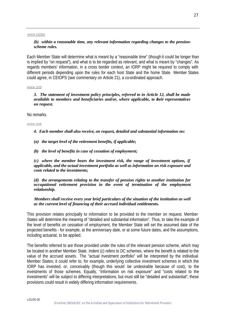*Article 11(2)(b)*

# *(b) within a reasonable time, any relevant information regarding changes to the pensionscheme rules.*

Each Member State will determine what is meant by a "reasonable time" (though it could be longer than is implied by "on request"), and what is to be regarded as relevant, and what is meant by "changes". As regards members' information, in a cross border context, an IORP might be required to comply with different periods depending upon the rules for each host State and the home State. Member States could agree, in CEIOPS (see commentary on Article 21), a co-ordinated approach.

#### *Article 11(3)*

*3. The statement of investment policy principles, referred to in Article 12, shall be made available to members and beneficiaries and/or, where applicable, to their representatives on request.*

#### No remarks.

#### *Article 11(4)*

- *4. Each member shall also receive, on request, detailed and substantial information on:*
- *(a) the target level of the retirement benefits, if applicable;*
- *(b) the level of benefits in case of cessation of employment;*

*(c) where the member bears the investment risk, the range of investment options, if applicable, and the actual investment portfolio as well as information on risk exposure and costs related to the investments;* 

*(d) the arrangements relating to the transfer of pension rights to another institution for occupational retirement provision in the event of termination of the employment relationship.*

## *Members shall receive every year brief particulars of the situation of the institution as well as the current level of financing of their accrued individual entitlements.*

This provision relates principally to information to be provided to the member on request. Member States will determine the meaning of "detailed and substantial information". Thus, to take the example of the level of benefits on cessation of employment, the Member State will set the assumed date of the projected benefits - for example, at the anniversary date, or at some future dates, and the assumptions, including actuarial, to be applied.

The benefits referred to are those provided under the rules of the relevant pension scheme, which may be located in another Member State. Indent (c) refers to DC schemes, where the benefit is related to the value of the accrued assets. The "actual investment portfolio" will be interpreted by the individual Member States; it could refer to, for example, underlying collective investment schemes in which the IORP has invested, or, conceivably (though this would be undesirable because of cost), to the investments of those schemes. Equally, "information on risk exposure" and "costs related to the investments" will be subject to differing interpretations, but must still be "detailed and substantial"; these provisions could result in widely differing information requirements.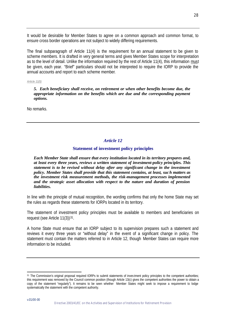It would be desirable for Member States to agree on a common approach and common format, to ensure cross border operations are not subject to widely differing requirements.

The final subparagraph of Article 11(4) is the requirement for an annual statement to be given to scheme members. It is drafted in very general terms and gives Member States scope for interpretation as to the level of detail. Unlike the information required by the rest of Article 11(4), this information must be given, each year. "Brief" particulars should not be interpreted to require the IORP to provide the annual accounts and report to each scheme member.

#### *Article 11(5)*

*5. Each beneficiary shall receive, on retirement or when other benefits become due, the appropriate information on the benefits which are due and the corresponding payment options.*

No remarks.

# *Article 12*

# **Statement of investment policy principles**

*Each Member State shall ensure that every institution located in its territory prepares and, at least every three years, reviews a written statement of investment-policy principles. This statement is to be revised without delay after any significant change in the investment policy. Member States shall provide that this statement contains, at least, such matters as the investment risk measurement methods, the risk-management processes implemented and the strategic asset allocation with respect to the nature and duration of pension liabilities.*

In line with the principle of mutual recognition, the wording confirms that only the home State may set the rules as regards these statements for IORPs located in its territory.

The statement of investment policy principles must be available to members and beneficiaries on request (see Article 11(3))<sup>31</sup>.

A home State must ensure that an IORP subject to its supervision prepares such a statement and reviews it every three years or "without delay" in the event of a significant change in policy. The statement must contain the matters referred to in Article 12, though Member States can require more information to be included.

<sup>&</sup>lt;sup>31</sup> The Commission's original proposal required IORPs to submit statements of investment policy principles to the competent authorities; this requirement was removed by the Council common position (though Article 13(c) gives the competent authorities the power to obtain a copy of the statement "regularly"). It remains to be seen whether Member States might seek to impose a requirement to lodge systematically the statement with the competent authority.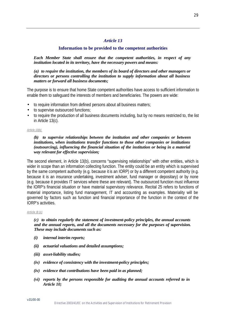# *Article 13*

# **Information to be provided to the competent authorities**

*Each Member State shall ensure that the competent authorities, in respect of any institution located in its territory, have the necessary powers and means:*

*(a) to require the institution, the members of its board of directors and other managers or directors or persons controlling the institution to supply information about all business matters or forward all business documents;*

The purpose is to ensure that home State competent authorities have access to sufficient information to enable them to safeguard the interests of members and beneficiaries. The powers are wide:

- to require information from defined persons about all business matters;
- to supervise outsourced functions:
- to require the production of all business documents including, but by no means restricted to, the list in Article 13(c).

#### *Article 13(b)*

## *(b) to supervise relationships between the institution and other companies or between institutions, when institutions transfer functions to those other companies or institutions (outsourcing), influencing the financial situation of the institution or being in a material way relevant for effective supervision;*

The second element, in Article 13(b), concerns "supervising relationships" with other entities, which is wider in scope than an information collecting function. The entity could be an entity which is supervised by the same competent authority (e.g. because it is an IORP) or by a different competent authority (e.g. because it is an insurance undertaking, investment adviser, fund manager or depositary) or by none (e.g. because it provides IT services where these are relevant). The outsourced function must influence the IORP's financial situation or have material supervisory relevance. Recital 25 refers to functions of material importance, listing fund management, IT and accounting as examples. Materiality will be governed by factors such as function and financial importance of the function in the context of the IORP's activities.

#### *Article 13 (c)*

### *(c) to obtain regularly the statement of investment-policy principles, the annual accounts and the annual reports, and all the documents necessary for the purposes of supervision. These may include documents such as:*

- *(i) internal interim reports;*
- *(ii) actuarial valuations and detailed assumptions;*
- *(iii) asset-liability studies;*
- *(iv) evidence of consistency with the investment-policy principles;*
- *(iv) evidence that contributions have been paid in as planned;*
- *(vi) reports by the persons responsible for auditing the annual accounts referred to in Article 10;*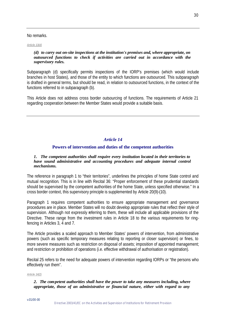# No remarks.

#### *Article 13(d)*

### *(d) to carry out on-site inspections at the institution's premises and, where appropriate, on outsourced functions to check if activities are carried out in accordance with the supervisory rules.*

Subparagraph (d) specifically permits inspections of the IORP's premises (which would include branches in host States), and those of the entity to which functions are outsourced. This subparagraph is drafted in general terms, but should be read, in relation to outsourced functions, in the context of the functions referred to in subparagraph (b).

This Article does not address cross border outsourcing of functions. The requirements of Article 21 regarding cooperation between the Member States would provide a suitable basis.

# *Article 14*

# **Powers of intervention and duties of the competent authorities**

#### *1. The competent authorities shall require every institution located in their territories to have sound administrative and accounting procedures and adequate internal control mechanisms.*

The reference in paragraph 1 to "their territories", underlines the principles of home State control and mutual recognition. This is in line with Recital 36: "Proper enforcement of these prudential standards should be supervised by the competent authorities of the home State, unless specified otherwise." In a cross border context, this supervisory principle is supplemented by Article 20(9)-(10).

Paragraph 1 requires competent authorities to ensure appropriate management and governance procedures are in place. Member States will no doubt develop appropriate rules that reflect their style of supervision. Although not expressly referring to them, these will include all applicable provisions of the Directive. These range from the investment rules in Article 18 to the various requirements for ringfencing in Articles 3, 4 and 7.

The Article provides a scaled approach to Member States' powers of intervention, from administrative powers (such as specific temporary measures relating to reporting or closer supervision) or fines, to more severe measures such as restriction on disposal of assets; imposition of appointed management; and restriction or prohibition of operations (i.e. effective withdrawal of authorisation or registration).

Recital 25 refers to the need for adequate powers of intervention regarding IORPs or "the persons who effectively run them".

#### *Article 14(2)*

## *2. The competent authorities shall have the power to take any measures including, where appropriate, those of an administrative or financial nature, either with regard to any*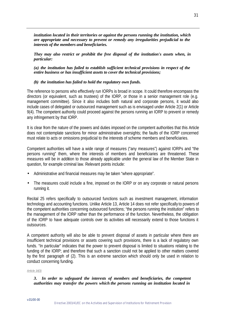*institution located in their territories or against the persons running the institution, which are appropriate and necessary to prevent or remedy any irregularities prejudicial to the interests of the members and beneficiaries.*

*They may also restrict or prohibit the free disposal of the institution's assets when, in particular:*

*(a) the institution has failed to establish sufficient technical provisions in respect of the entire business or has insufficient assets to cover the technical provisions;* 

## *(b) the institution has failed to hold the regulatory own funds.*

The reference to persons who effectively run IORPs is broad in scope. It could therefore encompass the directors (or equivalent, such as trustees) of the IORP, or those in a senior management role (e.g. management committee). Since it also includes both natural and corporate persons, it would also include cases of delegated or outsourced management such as is envisaged under Article 2(1) or Article 9(4). The competent authority could proceed against the persons running an IORP to prevent or remedy any infringement by that IORP.

It is clear from the nature of the powers and duties imposed on the competent authorities that this Article does not contemplate sanctions for minor administrative oversights; the faults of the IORP concerned must relate to acts or omissions prejudicial to the interests of scheme members and beneficiaries.

Competent authorities will have a wide range of measures ("any measures") against IORPs and "the persons running" them, where the interests of members and beneficiaries are threatened. These measures will be in addition to those already applicable under the general law of the Member State in question, for example criminal law. Relevant points include:

- Administrative and financial measures may be taken "where appropriate".
- The measures could include a fine, imposed on the IORP or on any corporate or natural persons running it.

Recital 25 refers specifically to outsourced functions such as investment management, information technology and accounting functions. Unlike Article 13, Article 14 does not refer specifically to powers of the competent authorities concerning outsourced functions; "the persons running the institution" refers to the management of the IORP rather than the performance of the function. Nevertheless, the obligation of the IORP to have adequate controls over its activities will necessarily extend to those functions it outsources.

A competent authority will also be able to prevent disposal of assets in particular where there are insufficient technical provisions or assets covering such provisions, there is a lack of regulatory own funds. "In particular" indicates that the power to prevent disposal is limited to situations relating to the funding of the IORP; and therefore that such a sanction could not be applied to other matters covered by the first paragraph of (2). This is an extreme sanction which should only be used in relation to conduct concerning funding.

#### *Article 14(3)*

## *3. In order to safeguard the interests of members and beneficiaries, the competent authorities may transfer the powers which the persons running an institution located in*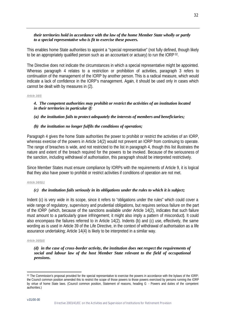## *their territories hold in accordance with the law of the home Member State wholly or partly to a special representative who is fit to exercise these powers.*

This enables home State authorities to appoint a "special representative" (not fully defined, though likely to be an appropriately qualified person such as an accountant or actuary) to run the IORP 32.

The Directive does not indicate the circumstances in which a special representative might be appointed. Whereas paragraph 4 relates to a restriction or prohibition of activities, paragraph 3 refers to continuation of the management of the IORP by another person. This is a radical measure, which would indicate a lack of confidence in the IORP's management. Again, it should be used only in cases which cannot be dealt with by measures in (2).

#### *Article 14(4)*

# *4. The competent authorities may prohibit or restrict the activities of an institution located in their territories in particular if:*

## *(a) the institution fails to protect adequately the interests of members and beneficiaries;*

## *(b) the institution no longer fulfils the conditions of operation;*

Paragraph 4 gives the home State authorities the power to prohibit or restrict the activities of an IORP, whereas exercise of the powers in Article 14(2) would not prevent an IORP from continuing to operate. The range of breaches is wide, and not restricted to the list in paragraph 4, though this list illustrates the nature and extent of the breach required for the powers to be invoked. Because of the seriousness of the sanction, including withdrawal of authorisation, this paragraph should be interpreted restrictively.

Since Member States must ensure compliance by IORPs with the requirements of Article 9, it is logical that they also have power to prohibit or restrict activities if conditions of operation are not met.

#### *Article 14(4)(c)*

#### *(c) the institution fails seriously in its obligations under the rules to which it is subject;*

Indent (c) is very wide in its scope, since it refers to "obligations under the rules" which could cover a wide range of regulatory, supervisory and prudential obligations, but requires serious failure on the part of the IORP (which, because of the sanctions available under Article 14(2), indicates that such failure must amount to a particularly grave infringement; it might also imply a pattern of misconduct). It could also encompass the failures referred to in Article 14(2). Indents (b) and (c) use, effectively, the same wording as is used in Article 39 of the Life Directive, in the context of withdrawal of authorisation as a life assurance undertaking; Article 14(4) is likely to be interpreted in a similar way.

#### *Article 14(4)(d)*

*(d) in the case of cross-border activity, the institution does not respect the requirements of social and labour law of the host Member State relevant to the field of occupational pensions.*

<sup>&</sup>lt;sup>32</sup> The Commission's proposal provided for the special representative to exercise the powers in accordance with the bylaws of the IORP; the Council common position amended this to restrict the scope of those powers to those powers exercised by persons running the IORP by virtue of home State laws. (Council common position, Statement of reasons, heading G - Powers and duties of the competent authorities.)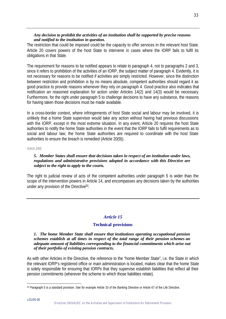# *Any decision to prohibit the activities of an institution shall be supported by precise reasons and notified to the institution in question.*

The restriction that could be imposed could be the capacity to offer services in the relevant host State. Article 20 covers powers of the host State to intervene in cases where the IORP fails to fulfil its obligations in that State.

The requirement for reasons to be notified appears to relate to paragraph 4, not to paragraphs 2 and 3, since it refers to prohibition of the activities of an IORP, the subject matter of paragraph 4. Evidently, it is not necessary for reasons to be notified if activities are simply restricted. However, since the distinction between restriction and prohibition is by no means absolute, competent authorities should regard it as good practice to provide reasons whenever they rely on paragraph 4. Good practice also indicates that notification an reasoned explanation for action under Articles 14(2) and 14(3) would be necessary. Furthermore, for the right under paragraph 5 to challenge decisions to have any substance, the reasons for having taken those decisions must be made available.

In a cross-border context, where infringements of host State social and labour may be involved, it is unlikely that a home State supervisor would take any action without having had previous discussions with the IORP, except in the most extreme situation. In any event, Article 20 requires the host State authorities to notify the home State authorities in the event that the IORP fails to fulfil requirements as to social and labour law; the home State authorities are required to coordinate with the host State authorities to ensure the breach is remedied (Article 20(9)).

#### *Article 14(5)*

# *5. Member States shall ensure that decisions taken in respect of an institution under laws, regulations and administrative provisions adopted in accordance with this Directive are subject to the right to apply to the courts.*

The right to judicial review of acts of the competent authorities under paragraph 5 is wider than the scope of the intervention powers in Article 14, and encompasses any decisions taken by the authorities under any provision of the Directive<sup>33</sup>.

# *Article 15*

# **Technical provisions**

#### *1. The home Member State shall ensure that institutions operating occupational pension schemes establish at all times in respect of the total range of their pension schemes an adequate amount of liabilities corresponding to the financial commitments which arise out of their portfolio of existing pension contracts.*

As with other Articles in the Directive, the reference to the "home Member State", i.e. the State in which the relevant IORP's registered office or main administration is located, makes clear that the home State is solely responsible for ensuring that IORPs that they supervise establish liabilities that reflect all their pension commitments (wherever the scheme to which those liabilities relate).

l <sup>33</sup> Paragraph 5 is a standard provision. See for example Article 33 of the Banking Directive or Article 67 of the Life Directive.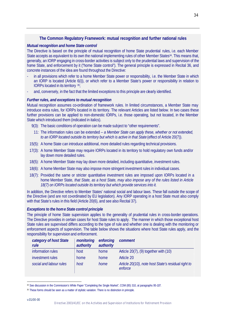# **The Common Regulatory Framework: mutual recognition and further national rules**

# *Mutual recognition and home State control*

The Directive is based on the principle of mutual recognition of home State prudential rules, i.e. each Member State accepts as equivalent to its own the national implementing rules of other Member States<sup>34</sup>. This means that, generally, an IORP engaging in cross-border activities is subject only to the prudential laws and supervision of the home State, and enforcement by it ("home State control"). The general principle is expressed in Recital 36, and concrete instances of the idea are found throughout the Directive:

- in all provisions which refer to a home Member State power or responsibility, i.e. the Member State in which an IORP is located (Article 6(i)), or which refer to a Member State's power or responsibility in relation to IORPs located in its territory 35;
- and, conversely, in the fact that the limited exceptions to this principle are clearly identified.

## *Further rules, and exceptions to mutual recognition*

Mutual recognition assumes co-ordination of framework rules. In limited circumstances, a Member State may introduce extra rules, for IORPs located in its territory. The relevant Articles are listed below. In two cases these further provisions can be applied to non-domestic IORPs, i.e. those operating, but not located, in the Member State which introduced them (indicated in italics).

- 9(3): The basic conditions of operation can be made subject to "other requirements".
- 11: The information rules can be extended  *a Member State can apply these, whether or not extended, to an IORP located outside its territory but which is active in that State* (effect of Article 20(7)).
- 15(5): A home State can introduce additional, more detailed rules regarding technical provisions.
- 17(3): A home Member State may require IORPs located in its territory to hold regulatory own funds and/or lay down more detailed rules.
- 18(5): A home Member State may lay down more detailed, including quantitative, investment rules.
- 18(6): A home Member State may also impose more stringent investment rules in individual cases.
- 18(7): Provided the same or stricter quantitative investment rules are imposed upon IORPs located in a home Member State, *that State, as a host State, may also impose any of the rules listed in Article 18(7) on IORPs located outside its territory but which provide services into it.*

In addition, the Directive refers to Member States' national social and labour laws. These fall outside the scope of the Directive (and are not co-ordinated by EU legislation). Any IORP operating in a host State must also comply with that State's rules in this field (Article 20(6), and see also Recital 37).

# *Exceptions to the home State control principle*

The principle of home State supervision applies to the generality of prudential rules in cross-border operations. The Directive provides in certain cases for host State rules to apply. The manner in which those exceptional host State rules are supervised differs according to the type of rule and whether one is dealing with the monitoring or enforcement aspects of supervision. The table below shows the situations where host State rules apply, and the responsibility for supervision and enforcement.

| category of host State<br>rule | monitoring<br>authority | enforcing<br>authority | comment                                                        |
|--------------------------------|-------------------------|------------------------|----------------------------------------------------------------|
| information rules              | host                    | home                   | Article 20(7), (9) together with (10)                          |
| investment rules               | home                    | home                   | Article 20                                                     |
| social and labour rules        | host                    | home                   | Article 20(10), note host State's residual right to<br>enforce |

l <sup>34</sup> See discussion in the Commission's White Paper "Completing the Single Market", COM (85) 310, at paragraphs 95-107.

<sup>35</sup> These forms should be seen as a matter of stylistic variation. There is no distinction in principle.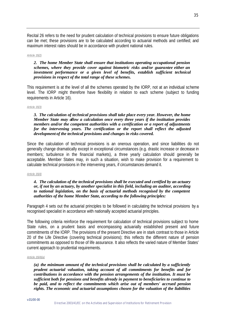Recital 26 refers to the need for prudent calculation of technical provisions to ensure future obligations can be met; these provisions are to be calculated according to actuarial methods and certified; and maximum interest rates should be in accordance with prudent national rules.

#### *Article 15(2)*

#### *2. The home Member State shall ensure that institutions operating occupational pension schemes, where they provide cover against biometric risks and/or guarantee either an investment performance or a given level of benefits, establish sufficient technical provisions in respect of the total range of these schemes.*

This requirement is at the level of all the schemes operated by the IORP, not at an individual scheme level. The IORP might therefore have flexibility in relation to each scheme (subject to funding requirements in Article 16).

#### *Article 15(3)*

#### *3. The calculation of technical provisions shall take place every year. However, the home Member State may allow a calculation once every three years if the institution provides members and/or the competent authorities with a certification or a report of adjustments for the intervening years. The certification or the report shall reflect the adjusted development of the technical provisions and changes in risks covered.*

Since the calculation of technical provisions is an onerous operation, and since liabilities do not generally change dramatically except in exceptional circumstances (e.g. drastic increase or decrease in members; turbulence in the financial markets), a three yearly calculation should generally be acceptable. Member States may, in such a situation, wish to make provision for a requirement to calculate technical provisions in the intervening years, if circumstances demand it.

#### *Article 15(4)*

#### *4. The calculation of the technical provisions shall be executed and certified by an actuary or, if not by an actuary, by another specialist in this field, including an auditor, according to national legislation, on the basis of actuarial methods recognised by the competent authorities of the home Member State, according to the following principles:*

Paragraph 4 sets out the actuarial principles to be followed in calculating the technical provisions by a recognised specialist in accordance with nationally accepted actuarial principles.

The following criteria reinforce the requirement for calculation of technical provisions subject to home State rules, on a prudent basis and encompassing actuarially established present and future commitments of the IORP. The provisions of the present Directive are in stark contrast to those in Article 20 of the Life Directive (covering technical provisions); this reflects the different nature of pension commitments as opposed to those of life assurance. It also reflects the varied nature of Member States' current approach to prudential requirements.

#### *Article 15(4)(a)*

*(a) the minimum amount of the technical provisions shall be calculated by a sufficiently prudent actuarial valuation, taking account of all commitments for benefits and for contributions in accordance with the pension arrangements of the institution. It must be sufficient both for pensions and benefits already in payment to beneficiaries to continue to be paid, and to reflect the commitments which arise out of members' accrued pension rights. The economic and actuarial assumptions chosen for the valuation of the liabilities*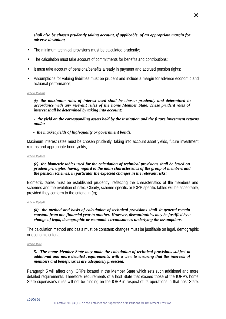# *shall also be chosen prudently taking account, if applicable, of an appropriate margin for adverse deviation;*

- The minimum technical provisions must be calculated prudently;
- The calculation must take account of commitments for benefits and contributions;
- It must take account of pensions/benefits already in payment and accrued pension rights;
- Assumptions for valuing liabilities must be prudent and include a margin for adverse economic and actuarial performance;

#### *Article 15(4)(b)*

*(b) the maximum rates of interest used shall be chosen prudently and determined in accordance with any relevant rules of the home Member State. These prudent rates of interest shall be determined by taking into account:*

*- the yield on the corresponding assets held by the institution and the future investment returns and/or*

#### *- the market yields of high-quality or government bonds;*

Maximum interest rates must be chosen prudently, taking into account asset yields, future investment returns and appropriate bond yields;

#### *Article 15(4)(c)*

#### *(c) the biometric tables used for the calculation of technical provisions shall be based on prudent principles, having regard to the main characteristics of the group of members and the pension schemes, in particular the expected changes in the relevant risks;*

Biometric tables must be established prudently, reflecting the characteristics of the members and schemes and the evolution of risks. Clearly, scheme specific or IORP specific tables will be acceptable, provided they conform to the criteria in (c);

#### *Article 15(4)(d)*

### *(d) the method and basis of calculation of technical provisions shall in general remain constant from one financial year to another. However, discontinuities may be justified by a change of legal, demographic or economic circumstances underlying the assumptions.*

The calculation method and basis must be constant; changes must be justifiable on legal, demographic or economic criteria.

#### *Article 15(5)*

#### *5. The home Member State may make the calculation of technical provisions subject to additional and more detailed requirements, with a view to ensuring that the interests of members and beneficiaries are adequately protected.*

Paragraph 5 will affect only IORPs located in the Member State which sets such additional and more detailed requirements. Therefore, requirements of a host State that exceed those of the IORP's home State supervisor's rules will not be binding on the IORP in respect of its operations in that host State.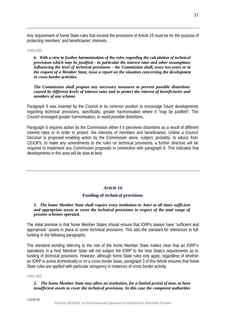Any requirement of home State rules that exceed the provisions of Article 15 must be for the purpose of protecting members' and beneficiaries' interests.

#### *Article 15(6)*

*6. With a view to further harmonisation of the rules regarding the calculation of technical provisions which may be justified - in particular the interest rates and other assumptions influencing the level of technical provisions - the Commission shall, every two years or at the request of a Member State, issue a report on the situation concerning the development in cross-border activities.*

#### *The Commission shall propose any necessary measures to prevent possible distortions caused by different levels of interest rates and to protect the interest of beneficiaries and members of any scheme.*

Paragraph 6 was inserted by the Council in its common position to encourage future developments regarding technical provisions, specifically, greater harmonisation where it "may be justified". The Council envisaged greater harmonisation, to avoid possible distortions.

Paragraph 6 requires action by the Commission either if it perceives distortions as a result of different interest rates or in order to protect the interests of members and beneficiaries. Unless a Council Decision is proposed enabling action by the Commission alone, subject, probably, to advice from CEIOPS, to make any amendments to the rules on technical provisions, a further directive will be required to implement any Commission proposals in connection with paragraph 6. This indicates that developments in this area will be slow at best.

#### *Article 16*

# **Funding of technical provisions**

### *1. The home Member State shall require every institution to have at all times sufficient and appropriate assets to cover the technical provisions in respect of the total range of pension schemes operated.*

The initial premise is that home Member States should ensure that IORPs always have "sufficient and appropriate" assets in place to cover technical provisions. This sets the standard for references to fullfunding in the following paragraphs.

The standard wording referring to the role of the home Member State makes clear that an IORP's operations in a host Memb er State will not subject the IORP to the host State's requirements as to funding of technical provisions. However, although home State rules only apply, regardless of whether an IORP is active domestically or on a cross border basis, paragraph 3 of this Article ensures that home State rules are applied with particular stringency in instances of cross border activity.

*Article 16(2)*

# *2. The home Member State may allow an institution, for a limited period of time, to have insufficient assets to cover the technical provisions. In this case the competent authorities*

37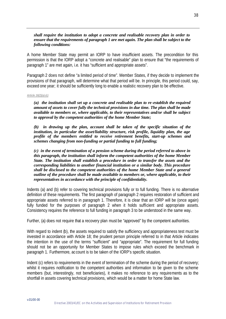#### *shall require the institution to adopt a concrete and realisable recovery plan in order to ensure that the requirements of paragraph 1 are met again. The plan shall be subject to the following conditions:*

A home Member State may permit an IORP to have insufficient assets. The precondition for this permission is that the IORP adopt a "concrete and realisable" plan to ensure that "the requirements of paragraph 1" are met again, i.e. it has "sufficient and appropriate assets".

Paragraph 2 does not define "a limited period of time". Member States, if they decide to implement the provisions of that paragraph, will determine what that period will be. In principle, this period could, say, exceed one year; it should be sufficiently long to enable a realistic recovery plan to be effective.

#### *Article 16(2)(a)-(c)*

*(a) the institution shall set up a concrete and realisable plan to re-establish the required amount of assets to cover fully the technical provisions in due time. The plan shall be made available to members or, where applicable, to their representatives and/or shall be subject to approval by the competent authorities of the home Member State;*

*(b) in drawing up the plan, account shall be taken of the specific situation of the institution, in particular the asset/liability structure, risk profile, liquidity plan, the age profile of the members entitled to receive retirement benefits, start-up schemes and schemes changing from non-funding or partial funding to full funding;* 

*(c) in the event of termination of a pension scheme during the period referred to above in this paragraph, the institution shall inform the competent authorities of the home Member State. The institution shall establish a procedure in order to transfer the assets and the corresponding liabilities to another financial institution or a similar body. This procedure shall be disclosed to the competent authorities of the home Member State and a general outline of the procedure shall be made available to members or, where applicable, to their representatives in accordance with the principle of confidentiality.*

Indents (a) and (b) refer to covering technical provisions fully or to full funding. There is no alternative definition of these requirements. The first paragraph of paragraph 2 requires restoration of sufficient and appropriate assets referred to in paragraph 1. Therefore, it is clear that an IORP will be (once again) fully funded for the purposes of paragraph 2 when it holds sufficient and appropriate assets. Consistency requires the reference to full funding in paragraph 3 to be understood in the same way.

Further, (a) does not require that a recovery plan must be "approved" by the competent authorities.

With regard to indent (b), the assets required to satisfy the sufficiency and appropriateness test must be invested in accordance with Article 18; the prudent person principle referred to in that Article indicates the intention in the use of the terms "sufficient" and "appropriate". The requirement for full funding should not be an opportunity for Member States to impose rules which exceed the benchmark in paragraph 1. Furthermore, ac count is to be taken of the IORP's specific situation.

Indent (c) refers to requirements in the event of termination of the scheme during the period of recovery; whilst it requires notification to the competent authorities and information to be given to the scheme members (but, interestingly, not beneficiaries), it makes no reference to any requirements as to the shortfall in assets covering technical provisions, which would be a matter for home State law.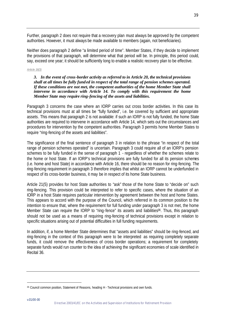Further, paragraph 2 does not require that a recovery plan must always be approved by the competent authorities. However, it must always be made available to members (again, not beneficiaries).

Neither does paragraph 2 define "a limited period of time". Member States, if they decide to implement the provisions of that paragraph, will determine what that period will be. In principle, this period could, say, exceed one year; it should be sufficiently long to enable a realistic recovery plan to be effective.

#### *Article 16(3)*

#### *3. In the event of cross-border activity as referred to in Article 20, the technical provisions shall at all times be fully fund ed in respect of the total range of pension schemes operated. If these conditions are not met, the competent authorities of the home Member State shall intervene in accordance with Article 14. To comply with this requirement the home Member State may require ring-fencing of the assets and liabilities.*

Paragraph 3 concerns the case where an IORP carries out cross border activities. In this case its technical provisions must at all times be "fully funded", i.e. be covered by sufficient and appropriate assets. This means that paragraph 2 is not available: if such an IORP is not fully funded, the home State authorities are required to intervene in accordance with Article 14, which sets out the circumstances and procedures for intervention by the competent authorities. Paragraph 3 permits home Member States to require "ring-fencing of the assets and liabilities".

The significance of the final sentence of paragraph 3 in relation to the phrase "in respect of the total range of pension schemes operated" is uncertain. Paragraph 3 could require all of an IORP's pension schemes to be fully funded in the sense of paragraph 1 - regardless of whether the schemes relate to the home or host State. If an IORP's technical provisions are fully funded for all its pension schemes (i.e. home and host State) in accordance with Article 16, there should be no reason for ring-fencing. The ring-fencing requirement in paragraph 3 therefore implies that whilst an IORP cannot be underfunded in respect of its cross-border business, it may be in respect of its home State business.

Article 21(5) provides for host State authorities to "ask" those of the home State to "decide on" such ring-fencing. This provision could be interpreted to refer to specific cases, where the situation of an IORP in a host State requires particular intervention by agreement between the host and home States. This appears to accord with the purpose of the Council, which referred in its common position to the intention to ensure that, where the requirement for full funding under paragraph 3 is not met, the home Member State can require the IORP to "ring-fence" its assets and liabilities<sup>36</sup>. Thus, this paragraph should not be used as a means of requiring ring-fencing of technical provisions except in relation to specific situations arising out of potential difficulties in full funding requirements.

In addition, if, a home Member State determines that "assets and liabilities" should be ring-fenced, and ring-fencing in the context of this paragraph were to be interpreted as requiring completely separate funds, it could remove the effectiveness of cross border operations; a requirement for completely separate funds would run counter to the idea of achieving the significant economies of scale identified in Recital 36.

<sup>36</sup> Council common position, Statement of Reasons, heading H - Technical provisions and own funds.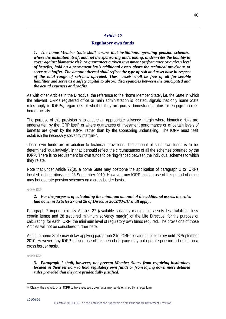# *Article 17*

# **Regulatory own funds**

*1. The home Member State shall ensure that institutions operating pension schemes, where the institution itself, and not the sponsoring undertaking, underwrites the liability to cover against biometric risk, or guarantees a given investment performance or a given level of benefits, hold on a permanent basis additional assets above the technical provisions to serve as a buffer. The amount thereof shall reflect the type of risk and asset base in respect of the total range of schemes operated. These assets shall be free of all foreseeable liabilities and serve as a safety capital to absorb discrepancies between the anticipated and the actual expenses and profits.*

As with other Articles in the Directive, the reference to the "home Member State", i.e. the State in which the relevant IORP's registered office or main administration is located, signals that only home State rules apply to IORPs, regardless of whether they are purely domestic operators or engage in crossborder activity.

The purpose of this provision is to ensure an appropriate solvency margin where biometric risks are underwritten by the IORP itself, or where guarantees of investment performance or of certain levels of benefits are given by the IORP, rather than by the sponsoring undertaking. The IORP must itself establish the necessary solvency margin<sup>37</sup>.

These own funds are in addition to technical provisions. The amount of such own funds is to be determined "qualitatively", in that it should reflect the circumstances of all the schemes operated by the IORP. There is no requirement for own funds to be ring-fenced between the individual schemes to which they relate.

Note that under Article 22(3), a home State may postpone the application of paragraph 1 to IORPs located in its territory until 23 September 2010. However, any IORP making use of this period of grace may hot operate pension schemes on a cross border basis.

#### *Article 17(2)*

# *2. For the purposes of calculating the minimum amount of the additional assets, the rules laid down in Articles 27 and 28 of Directive 2002/83/EC shall apply .*

Paragraph 2 imports directly Articles 27 (available solvency margin, i.e. assets less liabilities, less certain items) and 28 (required minimum solvency margin) of the Life Directive for the purpose of calculating, for each IORP, the minimum level of regulatory own funds required. The provisions of those Articles will not be considered further here.

Again, a home State may delay applying paragraph 2 to IORPs located in its territory until 23 September 2010. However, any IORP making use of this period of grace may not operate pension schemes on a cross border basis.

#### *Article 17(3)*

### *3. Paragraph 1 shall, however, not prevent Member States from requiring institutions located in their territory to hold regulatory own funds or from laying down more detailed rules provided that they are prudentially justified.*

<sup>37</sup> Clearly, the capacity of an IORP to have regulatory own funds may be determined by its legal form.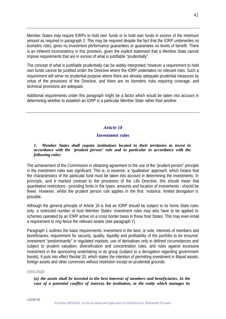Member States may require IORPs to hold own funds or to hold own funds in excess of the minimum amount as required in paragraph 2. This may be required despite the fact that the IORP underwrites no biometric risks, gives no investment performance guarantees or guarantees no levels of benefit. There is an inherent inconsistency in this provision, given the explicit statement that a Member State cannot impose requirements that are in excess of what is justifiable "prudentially".

The concept of what is justifiable prudentially can be widely interpreted; however a requirement to hold own funds cannot be justified under the Directive where the IORP undertakes no relevant risks. Such a requirement will serve no prudential purpose where there are already adequate prudential measures by virtue of the provisions of the Directive, and there are no biometric risks requiring coverage, and technical provisions are adequate.

Additional requirements under this paragraph might be a factor which would be taken into account in determining whether to establish an IORP in a particular Member State rather than another.

# *Article 18*

## **Investment rules**

#### *1. Member States shall require institutions located in their territories to invest in accordance with the 'prudent person' rule and in particular in accordance with the following rules:*

The achievement of the Commission in obtaining agreement to the use of the "prudent person" principle in the investment rules was significant. This is, in essence, a "qualitative" approach, which means that the characteristics of the particular fund must be taken into account in determining the investments. In principle, and in marked contrast to the provisions of the Life Directive, this should mean that quantitative restrictions - providing limits in the types, amounts and location of investments - should be fewer. However, whilst the prudent person rule applies in the first instance, limited derogation is possible.

Although the general principle of Article 18 is that an IORP should be subject to its home State rules only, a restricted number of host Member States' investment rules may also have to be applied to schemes operated by an IORP active on a cross border basis in those host States. This may even entail a requirement to ring-fence the relevant assets (see paragraph 7).

Paragraph 1 outlines the basic requirements: investment in the best, or sole, interests of members and beneficiaries; requirement for security, quality, liquidity and profitability of the portfolio to be ensured; investment "predominantly" in regulated markets; use of derivatives only in defined circumstances and subject to prudent valuation; diversification and concentration rules, and rules against excessive investment in the sponsoring undertaking or its group (subject to a derogation regarding government bonds). It puts into effect Recital 33, which states the intention of permitting investment in illiquid assets, foreign assets and other currencies without restriction except on prudential grounds.

#### *Article 18(1)(a)*

## *(a) the assets shall be invested in the best interests of members and beneficiaries. In the case of a potential conflict of interest, the institution, or the entity which manages its*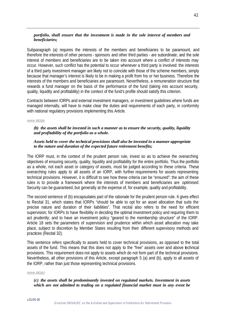# *portfolio, shall ensure that the investment is made in the sole interest of members and beneficiaries;*

Subparagraph (a) requires the interests of the members and beneficiaries to be paramount, and therefore the interests of other persons - sponsors and other third parties - are subordinate; and the sole interest of members and beneficiaries are to be taken into account where a conflict of interests may occur. However, such conflict has the potential to occur whenever a third party is involved: the interests of a third party investment manager are likely not to coincide with those of the scheme members, simply because that manager's interest is likely to be in making a profit from his or her business. Therefore the interests of the members and beneficiaries are paramount. Nevertheless, a remuneration structure that rewards a fund manager on the basis of the performance of the fund (taking into account security, quality, liquidity and profitability) in the context of the fund's profile should satisfy this criterion.

Contracts between IORPs and external investment managers, or investment guidelines where funds are managed internally, will have to make clear the duties and requirements of each party, in conformity with national regulatory provisions implementing this Article.

#### *Article 18(1)(b)*

## *(b) the assets shall be invested in such a manner as to ensure the security, quality, liquidity and profitability of the portfolio as a whole.*

#### *Assets held to cover the technical provisions shall also be invested in a manner appropriate to the nature and duration of the expected future retirement benefits;*

The IORP must, in the context of the prudent person rule, invest so as to achieve the overarching objectives of ensuring security, quality, liquidity and profitability for the entire portfolio. Thus the portfolio as a whole, not each asset or category of assets, must be judged according to these criteria. These overarching rules apply to all assets of an IORP, with further requirements for assets representing technical provisions. However, it is difficult to see how these criteria can be "ensured"; the aim of these rules is to provide a framework where the interests of members and beneficiaries are *optimised*. Security can be guaranteed, but generally at the expense of, for example, quality and profitability.

The second sentence of (b) encapsulates part of the rationale for the prudent person rule. It gives effect to Recital 31, which states that IORPs "should be able to opt for an asset allocation that suits the precise nature and duration of their liabilities". That recital also refers to the need for efficient supervision; for IORPs to have flexibility in deciding the optimal investment policy and requiring them to act prudently; and to have an investment policy "geared to the membership structure" of the IORP. Article 18 sets the parameters of supervision and prudence within which asset allocation may take place, subject to discretion by Member States resulting from their different supervisory methods and practices (Recital 32).

This sentence refers specifically to assets held to cover technical provisions, as opposed to the total assets of the fund. This means that this does not apply to the "free" assets over and above technical provisions. This requirement does not apply to assets which do not form part of the technical provisions. Nevertheless, all other provisions of this Article, except paragraph 5 (a) and (b), apply to all assets of the IORP, rather than just those representing technical provisions.

#### *Article 18(1)(c)*

# *(c) the assets shall be predominantly invested on regulated markets. Investment in assets which are not admitted to trading on a regulated financial market must in any event be*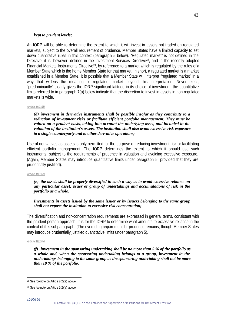# *kept to prudent levels;*

An IORP will be able to determine the extent to which it will invest in assets not traded on regulated markets, subject to the overall requirement of prudence. Member States have a limited capacity to set down quantitative rules in this context (paragraph 5 below). "Regulated market" is not defined in the Directive; it is, however, defined in the Investment Services Directive<sup>38</sup>, and in the recently adopted Financial Markets Instruments Directive<sup>39</sup>, by reference to a market which is regulated by the rules of a Member State which is the home Member State for that market. In short, a regulated market is a market established in a Member State. It is possible that a Member State will interpret "regulated market" in a way that widens the meaning of regulated market beyond this interpretation. Nevertheless, "predominantly" clearly gives the IORP significant latitude in its choice of investment; the quantitative limits referred to in paragraph 7(a) below indicate that the discretion to invest in assets in non regulated markets is wide.

#### *Article 18(1)(d)*

*(d) investment in derivative instruments shall be possible insofar as they contribute to a reduction of investment risks or facilitate efficient portfolio management. They must be valued on a prudent basis, taking into account the underlying asset, and included in the valuation of the institution's assets. The institution shall also avoid excessive risk exposure to a single counterparty and to other derivative operations;*

Use of derivatives as assets is only permitted for the purpose of reducing investment risk or facilitating efficient portfolio management. The IORP determines the extent to which it should use such instruments, subject to the requirements of prudence in valuation and avoiding excessive exposure. (Again, Member States may introduce quantitative limits under paragraph 5, provided that they are prudentially justified).

#### *Article 18(1)(e)*

#### *(e) the assets shall be properly diversified in such a way as to avoid excessive reliance on any particular asset, issuer or group of undertakings and accumulations of risk in the portfolio as a whole.*

# *Investments in assets issued by the same issuer or by issuers belonging to the same group shall not expose the institution to excessive risk concentration;*

The diversification and non-concentration requirements are expressed in general terms, consistent with the prudent person approach. It is for the IORP to determine what amounts to excessive reliance in the context of this subparagraph. (The overriding requirement for prudence remains, though Member States may introduce prudentially justified quantitative limits under paragraph 5).

#### *Article 18(1)(e)*

*(f) investment in the sponsoring undertaking shall be no more than 5 % of the portfolio as a whole and, when the sponsoring undertaking belongs to a group, investment in the undertakings belonging to the same group as the sponsoring undertaking shall not be more than 10 % of the portfolio.*

<sup>38</sup> See footnote on Article 2(2)(a) above.

<sup>39</sup> See footnote on Article 2(2)(a) above.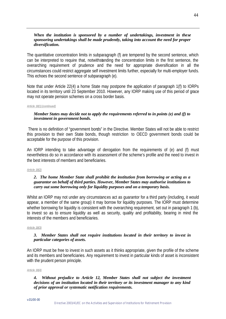### *When the institution is sponsored by a number of undertakings, investment in these sponsoring undertakings shall be made prudently, taking into account the need for proper diversification.*

The quantitative concentration limits in subparagraph (f) are tempered by the second sentence, which can be interpreted to require that, notwithstanding the concentration limits in the first sentence, the overarching requirement of prudence and the need for appropriate diversification in all the circumstances could restrict aggregate self investment limits further, especially for multi-employer funds. This echoes the second sentence of subparagraph (e).

Note that under Article 22(4) a home State may postpone the application of paragraph 1(f) to IORPs located in its territory until 23 September 2010. However, any IORP making use of this period of grace may not operate pension schemes on a cross border basis.

#### *Article 18(1) (continued)*

## *Member States may decide not to apply the requirements referred to in points (e) and (f) to investment in government bonds.*

There is no definition of "government bonds" in the Directive. Member States will not be able to restrict this provision to their own State bonds, though restriction to OECD government bonds could be acceptable for the purpose of this provision.

An IORP intending to take advantage of derogation from the requirements of (e) and (f) must nevertheless do so in accordance with its assessment of the scheme's profile and the need to invest in the best interests of members and beneficiaries.

#### *Article 18(2)*

## *2. The home Member State shall prohibit the institution from borrowing or acting as a guarantor on behalf of third parties. However, Member States may authorise institutions to carry out some borrowing only for liquidity purposes and on a temporary basis.*

Whilst an IORP may not under any circumstances act as guarantor for a third party (including, it would appear, a member of the same group) it may borrow for liquidity purposes. The IORP must determine whether borrowing for liquidity is consistent with the overarching requirement, set out in paragraph 1 (b), to invest so as to ensure liquidity as well as security, quality and profitability, bearing in mind the interests of the members and beneficiaries.

#### *Article 18(3)*

#### *3. Member States shall not require institutions located in their territory to invest in particular categories of assets.*

An IORP must be free to invest in such assets as it thinks appropriate, given the profile of the scheme and its members and beneficiaries. Any requirement to invest in particular kinds of asset is inconsistent with the prudent person principle.

#### *Article 18(4)*

#### *4. Without prejudice to Article 12, Member States shall not subject the investment decisions of an institution located in their territory or its investment manager to any kind of prior approval or systematic notification requirements.*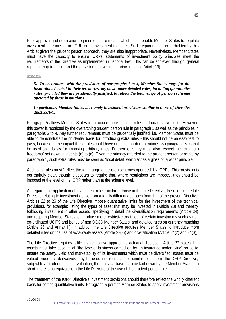Prior approval and notification requirements are means which might enable Member States to regulate investment decisions of an IORP or its investment manager. Such requirements are forbidden by this Article; given the prudent person approach, they are also inappropriate. Nevertheless, Member States must have the capacity to ensure IORPs' statements of investment policy principles meet the requirements of the Directive as implemented in national law. This can be achieved through general reporting requirements and the provision of investment principles (see Article 13).

*Article 18(5)*

*5. In accordance with the provisions of paragraphs 1 to 4, Member States may, for the institutions located in their territories, lay down more detailed rules, including quantitative rules, provided they are prudentially justified, to reflect the total range of pension schemes operated by these institutions.*

## *In particular, Member States may apply investment provisions similar to those of Directive 2002/83/EC.*

Paragraph 5 allows Member States to introduce more detailed rules and quantitative limits. However, this power is restricted by the overarching prudent person rule in paragraph 1 as well as the principles in paragraphs 2 to 4. Any further requirements must be prudentially justified, i.e. Member States must be able to demonstrate the prudential basis for introducing extra rules - this should not be an easy test to pass, because of the impact these rules could have on cross border operations. So paragraph 5 cannot be used as a basis for imposing arbitrary rules. Furthermore they must also respect the "minimum freedoms" set down in indents (a) to (c). Given the primacy afforded to the prudent person principle by paragraph 1, such extra rules must be seen as "local detail" which act as a gloss on a wider principle.

Additional rules must "reflect the total range of pension schemes operated" by IORPs. This provision is not entirely clear, though it appears to require that, where restrictions are imposed, they should be imposed at the level of the IORP rather than at the scheme level.

As regards the application of investment rules similar to those in the Life Directive, the rules in the Life Directive relating to investment derive from a totally different approach from that of the present Directive. Articles 22 to 26 of the Life Directive impose quantitative limits for the investment of the technical provisions, for example: listing the types of asset that may be invested in (Article 23) and thereby forbidding investment in other assets; specifying in detail the diversification requirements (Article 24) and requiring Member States to introduce more restrictive treatment of certain investments such as non co-ordinated UCITS and bonds of non OECD Member States; and detailed rules on currency matching (Article 26 and Annex II). In addition the Life Directive requires Member States to introduce more detailed rules on the use of acceptable assets (Article 23(3)) and diversification (Article 24(2) and 24(3)).

The Life Directive requires a life insurer to use appropriate actuarial discretion: Article 22 states that assets must take account of "the type of business carried on by an insurance undertaking" so as to ensure the safety, yield and marketability of its investments which must be diversified; assets must be valued prudently; derivatives may be used in circumstances similar to those in the IORP Directive, subject to a prudent basis for valuation, though such basis is to be laid down by the Member States. In short, there is no equivalent in the Life Directive of the use of the prudent person rule.

The treatment of the IORP Directive's investment provisions should therefore reflect the wholly different basis for setting quantitative limits. Paragraph 5 permits Member States to apply investment provisions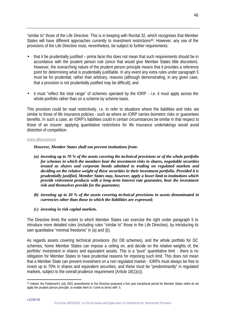"similar to" those of the Life Directive. This is in keeping with Recital 32, which recognises that Member States will have different approaches currently to investment restrictions<sup>40</sup>. However, any use of the provisions of the Life Directive must, nevertheless, be subject to further requirements:

- that it be prudentially justified prima facie this does not mean that such requirements should be in accordance with the prudent person rule (since that would give Member States little discretion). However, the overarching nature of the prudent person principle means that it provides a reference point for determining what is prudentially justifiable. In any event any extra rules under paragraph 5 must be for prudential, rather than arbitrary, reasons (although demonstrating, in any given case, that a provision is not prudentially justified may be difficult); and
- it must "reflect the total range" of schemes operated by the IORP i.e. it must apply across the whole portfolio rather than on a scheme by scheme basis.

This provision could be read restrictively, i.e. to refer to situations where the liabilities and risks are similar to those of life insurance policies - such as where an IORP carries biometric risks or quarantees benefits. In such a case, an IORP's liabilities could in certain circumstances be similar in that respect to those of an insurer: applying quantitative restrictions for life insurance undertakings would avoid distortion of competition.

#### *Article 18(5) (continued)*

## *However, Member States shall not prevent institutions from:*

- *(a) investing up to 70 % of the assets covering the technical provisions or of the whole portfolio for schemes in which the members bear the investment risks in shares, negotiable securities treated as shares and corporate bonds admitted to trading on regulated markets and deciding on the relative weight of these securities in their investment portfolio. Provided it is prudentially justified, Member States may, however, apply a lower limit to institutions which provide retirement products with a long-term interest rate guarantee, bear the investment risk and themselves provide for the guarantee;*
- *(b) investing up to 30 % of the assets covering technical provisions in assets denominated in currencies other than those in which the liabilities are expressed;*
- *(c) investing in risk capital markets.*

The Directive limits the extent to which Member States can exercise the right under paragraph 5 to introduce more detailed rules (including rules "similar to" those in the Life Directive), by introducing its own quantitative "minimal freedoms" in (a) and (b).

As regards assets covering technical provisions (for DB schemes), and the whole portfolio for DC schemes, home Member States can impose a ceiling on, and decide on the relative weights of, the portfolio' investment in shares and equivalent assets. This is a "pure" quantitative limit - there is no obligation for Member States to have prudential reasons for imposing such limit. This does not mean that a Member State can prevent investment on a non regulated market - IORPs must always be free to invest up to 70% in shares and equivalent securities, and these must be "predominantly" in regulated markets, subject to the overall prudence requirement (Article 18(1)(c)).

l <sup>40</sup> Indeed, the Parliament's July 2001 amendments to the Directive proposed a five year transitional period for Member States which do not apply the prudent person principle, to enable them to "come to terms with" it.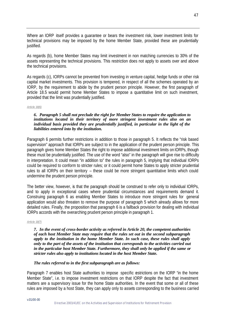Where an IORP itself provides a guarantee or bears the investment risk, lower investment limits for technical provisions may be imposed by the home Member State, provided these are prudentially justified.

As regards (b), home Member States may limit investment in non matching currencies to 30% of the assets representing the technical provisions. This restriction does not apply to assets over and above the technical provisions.

As regards (c), IORPs cannot be prevented from investing in venture capital, hedge funds or other risk capital market investments. This provision is tempered, in respect of all the schemes operated by an IORP, by the requirement to abide by the prudent person principle. However, the first paragraph of Article 18.5 would permit home Member States to impose a quantitative limit on such investment, provided that the limit was prudentially justified.

# *Article 18(6)*

### *6. Paragraph 5 shall not preclude the right for Member States to require the application to institutions located in their territory of more stringent investment rules also on an individual basis provided they are prudentially justified, in particular in the light of the liabilities entered into by the institution.*

Paragraph 6 permits further restrictions in addition to those in paragraph 5. It reflects the "risk based supervision" approach that IORPs are subject to in the application of the prudent person principle. This paragraph gives home Member States the right to impose additional investment limits on IORPs, though these must be prudentially justified. The use of the word "also" in the paragraph will give rise to difficulty in interpretation. It could mean "in addition to" the rules in paragraph 5, implying that individual IORPs could be required to conform to stricter rules; or it could permit home States to apply stricter prudential rules to all IORPs on their territory – these could be more stringent quantitative limits which could undermine the prudent person principle.

The better view, however, is that the paragraph should be construed to refer only to individual IORPs, and to apply in exceptional cases where prudential circumstances and requirements demand it. Construing paragraph 6 as enabling Member States to introduce more stringent rules for general application would also threaten to remove the purpose of paragraph 5 which already allows for more detailed rules. Finally, the proposition that paragraph 6 is a fallback provision for dealing with individual IORPs accords with the overarching prudent person principle in paragraph 1.

#### *Article 18(7)*

*7. In the event of cross-border activity as referred in Article 20, the competent authorities of each host Member State may require that the rules set out in the second subparagraph apply to the institution in the home Member State. In such case, these rules shall apply only to the part of the assets of the institution that corresponds to the activities carried out in the particular host Member State. Furthermore, they shall only be applied if the same or stricter rules also apply to institutions located in the host Member State.*

#### *The rules referred to in the first subparagraph are as follows:*

Paragraph 7 enables host State authorities to impose specific restrictions on the IORP "in the home Member State", i.e. to impose investment restrictions on that IORP despite the fact that investment matters are a supervisory issue for the home State authorities. In the event that some or all of these rules are imposed by a host State, they can apply only to assets corresponding to the business carried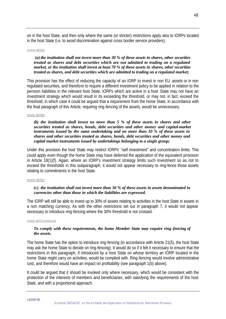on in the host State, and then only where the same (or stricter) restrictions apply also to IORPs located in the host State (i.e. to avoid discrimination against cross border service providers).

#### *Article 18(7)(a)*

### *(a)the institution shall not invest more than 30 % of these assets in shares, other securities treated as shares and debt securities which are not admitted to trading on a regulated market, or the institution shall invest at least 70 % of these assets in shares, other securities treated as shares, and debt securities which are admitted to trading on a regulated market;*

This provision has the effect of reducing the capacity of an IORP to invest in non EU assets or in non regulated securities, and therefore to require a different investment policy to be applied in relation to the pension liabilities in the relevant host State. IORPs which are active in a host State may not have an investment strategy which would result in its exceeding the threshold, or may not, in fact, exceed the threshold; in which case it could be argued that a requirement from the home State, in accordance with the final paragraph of this Article, requiring ring-fencing of the assets, would be unnecessary.

#### *Article 18(7)(b)*

#### *(b) the institution shall invest no more than 5 % of these assets in shares and other securities treated as shares, bonds, debt securities and other money and capital-market instruments issued by the same undertaking and no more than 10 % of these assets in shares and other securities treated as shares, bonds, debt securities and other money and capital market instruments issued by undertakings belonging to a single group;*

Under this provision the host State may restrict IORPs' "self investment" and concentration limits. This could apply even though the home State may have deferred the application of the equivalent provision in Article 18(1)(f). Again, where an IORP's investment strategy limits such investment so as not to exceed the thresholds in this subparagraph, it would not appear necessary to ring-fence those assets relating to commitments in the host State.

#### *Article 18(7)(c)*

## *(c) the institution shall not invest more than 30 % of these assets in assets denominated in currencies other than those in which the liabilities are expressed.*

The IORP will still be able to invest up to 30% of assets relating to activities in the host State in assets in a non matching currency. As with the other restrictions set out in paragraph 7, it would not appear necessary to introduce ring-fencing where the 30% threshold is not crossed.

#### *Article 18(7) (continued)*

## *To comply with these requirements, the home Member State may require ring-fencing of the assets.*

The home State has the option to introduce ring-fencing (in accordance with Article 21(5), the host State may ask the home State to decide on ring-fencing). It would do so if it felt it necessary to ensure that the restrictions in this paragraph, if introduced by a host State on whose territory an IORP located in the home State might carry on activities, would be complied with. Ring-fencing would involve administrative cost, and therefore would have an impact on profitability (see paragraph 1(b) above).

It could be argued that it should be invoked only where necessary, which would be consistent with the protection of the interests of members and beneficiaries, with satisfying the requirements of the host State, and with a proportional approach.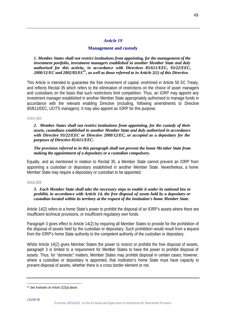# *Article 19*

# **Management and custody**

*1. Member States shall not restrict institutions from appointing, for the management of the investment portfolio, investment managers established in another Member State and duly authorised for this activity, in accordance with Directives 85/611/EEC, 93/22/EEC, 2000/12/EC and 2002/83/EC<sup>41</sup>, as well as those referred to in Article 2(1) of this Directive.*

This Article is intended to guarantee the free movement of capital, enshrined in Article 56 EC Treaty, and reflects Recital 35 which refers to the elimination of restrictions on the choice of asset managers and custodians on the basis that such restrictions limit competition. Thus, an IORP may appoint any investment manager established in another Member State appropriately authorised to manage funds in accordance with the relevant enabling Directive (including, following amendments to Directive 85/611/EEC, UCITS managers). It may also appoint an IORP for this purpose.

#### *Article 19(2)*

## *2. Member States shall not restrict institutions from appointing, for the custody of their assets, custodians established in another Member State and duly authorised in accordance with Directive 93/22/EEC or Directive 2000/12/EC, or accepted as a depositary for the purposes of Directive 85/611/EEC.*

# *The provision referred to in this paragraph shall not prevent the home Member State from making the appointment of a depositary or a custodian compulsory.*

Equally, and as mentioned in relation to Recital 35, a Member State cannot prevent an IORP from appointing a custodian or depositary established in another Member State. Nevertheless, a home Member State may require a depositary or custodian to be appointed.

#### *Article 19(3)*

# *3. Each Member State shall take the necessary steps to enable it under its national law to prohibit, in accordance with Article 14, the free disposal of assets held by a depositary or custodian located within its territory at the request of the institution's home Member State.*

Article 14(2) refers to a home State's power to prohibit the disposal of an IORP's assets where there are insufficient technical provisions, or insufficient regulatory own funds.

Paragraph 3 gives effect to Article 14(2) by requiring all Member States to provide for the prohibition of the disposal of assets held by the custodian or depositary. Such prohibition would result from a request from the IORP's home State authority to the competent authority of the custodian or depositary.

Whilst Article 14(2) gives Member States the power to restrict or prohibit the free disposal of assets, paragraph 3 is limited to a requirement for Member States to have the power to prohibit disposal of assets. Thus, for "domestic" matters, Member States may prohibit disposal in certain cases; however, where a custodian or depositary is appointed, that institution's home State must have capacity to prevent disposal of assets, whether there is a cross border element or not.

l 41 See footnotes on Article 2(2)(a) above.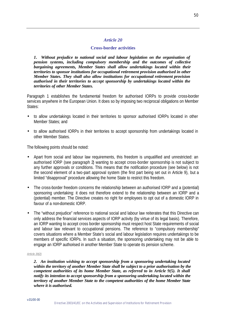# *Article 20*

# **Cross-border activities**

*1. Without prejudice to national social and labour legislation on the organisation of pension systems, including compulsory membership and the outcomes of collective bargaining agreements, Member States shall allow undertakings located within their territories to sponsor institutions for occupational retirement provision authorised in other Member States. They shall also allow institutions for occupational retirement provision authorised in their territories to accept sponsorship by undertakings located within the territories of other Member States.*

Paragraph 1 establishes the fundamental freedom for authorised IORPs to provide cross-border services anywhere in the European Union. It does so by imposing two reciprocal obligations on Member States:

- to allow undertakings located in their territories to sponsor authorised IORPs located in other Member States; and
- to allow authorised IORPs in their territories to accept sponsorship from undertakings located in other Member States.

The following points should be noted:

- Apart from social and labour law requirements, this freedom is unqualified and unrestricted: an authorised IORP (see paragraph 2) wanting to accept cross-border sponsorship is not subject to any further approvals or conditions. This means that the notification procedure (see below) is not the second element of a two-part approval system (the first part being set out in Article 9), but a limited "disapproval" procedure allowing the home State to restrict this freedom.
- The cross-border freedom concerns the relationship between an authorised IORP and a (potential) sponsoring undertaking: it does not therefore extend to the relationship between an IORP and a (potential) member. The Directive creates no right for employees to opt out of a domestic IORP in favour of a non-domestic IORP.
- The "without prejudice" reference to national social and labour law reiterates that this Directive can only address the financial services aspects of IORP activity (by virtue of its legal basis). Therefore, an IORP wanting to accept cross border sponsorship must respect host State requirements of social and labour law relevant to occupational pensions. The reference to "compulsory membership" covers situations where a Member State's social and labour legislation requires undertakings to be members of specific IORPs. In such a situation, the sponsoring undertaking may not be able to engage an IORP authorised in another Member State to operate its pension scheme.

#### *Article 20(2)*

*2. An institution wishing to accept sponsorship from a sponsoring undertaking located within the territory of another Member State shall be subject to a prior authorisation by the competent authorities of its home Member State, as referred to in Article 9(5). It shall notify its intention to accept sponsorship from a sponsoring undertaking located within the territory of another Member State to the competent authorities of the home Member State where it is authorised.*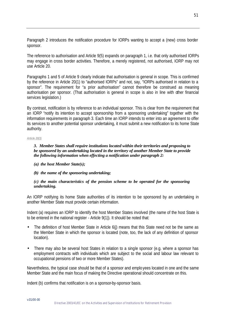Paragraph 2 introduces the notification procedure for IORPs wanting to accept a (new) cross border sponsor.

The reference to authorisation and Article 9(5) expands on paragraph 1, i.e. that only authorised IORPs may engage in cross border activities. Therefore, a merely registered, not authorised, IORP may not use Article 20.

Paragraphs 1 and 5 of Article 9 clearly indicate that authorisation is general in scope. This is confirmed by the reference in Article 20(1) to "authorised IORPs" and not, say, "IORPs authorised in relation to a sponsor". The requirement for "a prior authorisation" cannot therefore be construed as meaning authorisation per sponsor. (That authorisation is general in scope is also in line with other financial services legislation.)

By contrast, notification is by reference to an individual sponsor. This is clear from the requirement that an IORP "notify its intention to accept sponsorship from a sponsoring undertaking" together with the information requirements in paragraph 3. Each time an IORP intends to enter into an agreement to offer its services to another potential sponsor undertaking, it must submit a new notification to its home State authority.

#### *Article 20(3)*

*3. Member States shall require institutions located within their territories and proposing to be sponsored by an undertaking located in the territory of another Member State to provide the following information when effecting a notification under paragraph 2:*

*(a) the host Member State(s);* 

# *(b) the name of the sponsoring undertaking;*

# *(c) the main characteristics of the pension scheme to be operated for the sponsoring undertaking.*

An IORP notifying its home State authorities of its intention to be sponsored by an undertaking in another Member State must provide certain information.

Indent (a) requires an IORP to identify the host Member States involved (the name of the host State is to be entered in the national register - Article 9(1)). It should be noted that:

- The definition of host Member State in Article 6(i) means that this State need not be the same as the Member State in which the sponsor is located (note, too, the lack of any definition of sponsor location).
- There may also be several host States in relation to a single sponsor (e.g. where a sponsor has employment contracts with individuals which are subject to the social and labour law relevant to occupational pensions of two or more Member States).

Nevertheless, the typical case should be that of a sponsor and emplo yees located in one and the same Member State and the main focus of making the Directive operational should concentrate on this.

Indent (b) confirms that notification is on a sponsor-by-sponsor basis.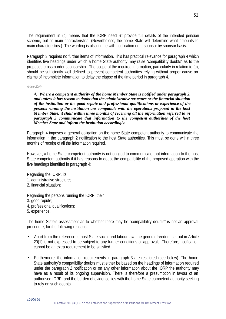The requirement in (c) means that the IORP need rot provide full details of the intended pension scheme, but its main characteristics. (Nevertheless, the home State will determine what amounts to main characteristics.) The wording is also in line with notification on a sponsor-by-sponsor basis.

Paragraph 3 requires no further items of information. This has practical relevance for paragraph 4 which identifies five headings under which a home State authority may raise "compatibility doubts" as to the proposed cross border sponsorship. The scope of the required information, particularly in relation to (c), should be sufficiently well defined to prevent competent authorities relying without proper cause on claims of incomplete information to delay the elapse of the time period in paragraph 4.

#### *Article 20(4)*

*4. Where a competent authority of the home Member State is notified under paragraph 2, and unless it has reason to doubt that the administrative structure or the financial situation of the institution or the good repute and professional qualifications or experience of the persons running the institution are compatible with the operations proposed in the host Member State, it shall within three months of receiving all the information referred to in paragraph 3 communicate that information to the competent authorities of the host Member State and inform the institution accordingly.*

Paragraph 4 imposes a general obligation on the home State competent authority to communicate the information in the paragraph 2 notification to the host State authorities. This must be done within three months of receipt of all the information required.

However, a home State competent authority is not obliged to communicate that information to the host State competent authority if it has reasons to doubt the compatibility of the proposed operation with the five headings identified in paragraph 4:

Regarding the IORP, its

- 1. administrative structure;
- 2. financial situation;

Regarding the persons running the IORP, their

- 3. good repute;
- 4. professional qualifications;
- 5. experience.

The home State's assessment as to whether there may be "compatibility doubts" is not an approval procedure, for the following reasons:

- Apart from the reference to host State social and labour law, the general freedom set out in Article 20(1) is not expressed to be subject to any further conditions or approvals. Therefore, notification cannot be an extra requirement to be satisfied.
- Furthermore, the information requirements in paragraph 3 are restricted (see below). The home State authority's compatibility doubts must either be based on the headings of information required under the paragraph 2 notification or on any other information about the IORP the authority may have as a result of its ongoing supervision. There is therefore a presumption in favour of an authorised IORP, and the burden of evidence lies with the home State competent authority seeking to rely on such doubts.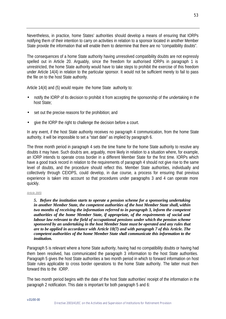Nevertheless, in practice, home States' authorities should develop a means of ensuring that IORPs notifying them of their intention to carry on activities in relation to a sponsor located in another Member State provide the information that will enable them to determine that there are no "compatibility doubts".

The consequences of a home State authority having unresolved compatibility doubts are not expressly spelled out in Article 20. Arguably, since the freedom for authorised IORPs in paragraph 1 is unrestricted, the home State authority would have to take steps to prohibit the exercise of this freedom under Article 14(4) in relation to the particular sponsor. It would not be sufficient merely to fail to pass the file on to the host State authority.

Article 14(4) and (5) would require the home State authority to:

- notify the IORP of its decision to prohibit it from accepting the sponsorship of the undertaking in the host State;
- set out the precise reasons for the prohibition; and
- give the IORP the right to challenge the decision before a court.

In any event, if the host State authority receives no paragraph 4 communication, from the home State authority, it will be impossible to set a "start date" as implied by paragraph 6.

The three month period in paragraph 4 sets the time frame for the home State authority to resolve any doubts it may have. Such doub ts are, arguably, more likely in relation to a situation where, for example, an IORP intends to operate cross border in a different Member State for the first time. IORPs which have a good track record in relation to the requirements of paragraph 4 should not give rise to the same level of doubts, and the procedure should reflect this. Member State authorities, individually and collectively through CEIOPS, could develop, in due course, a process for ensuring that previous experience is taken into account so that procedures under paragraphs 3 and 4 can operate more quickly.

#### *Article 20(5)*

*5. Before the institution starts to operate a pension scheme for a sponsoring undertaking in another Member State, the competent authorities of the host Member State shall, within two months of receiving the information referred to in paragraph 3, inform the competent authorities of the home Member State, if appropriate, of the requirements of social and labour law relevant to the field of occupational pensions under which the pension scheme sponsored by an undertaking in the host Member State must be operated and any rules that are to be applied in accordance with Article 18(7) and with paragraph 7 of this Article. The competent authorities of the home Member State shall communicate this information to the institution.*

Paragraph 5 is relevant where a home State authority, having had no compatibility doubts or having had them been resolved, has communicated the paragraph 3 information to the host State authorities. Paragraph 5 gives the host State authorities a two month period in which to forward information on host State rules applicable to cross border operations to the home State authority. The latter must then forward this to the IORP.

The two month period begins with the date of the host State authorities' receipt of the information in the paragraph 2 notification. This date is important for both paragraph 5 and 6: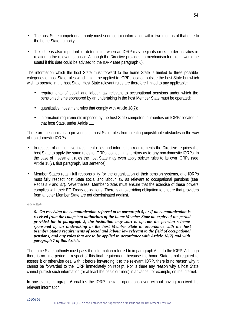- The host State competent authority must send certain information within two months of that date to the home State authority;
- This date is also important for determining when an IORP may begin its cross border activities in relation to the relevant sponsor. Although the Directive provides no mechanism for this, it would be useful if this date could be advised to the IORP (see paragraph 6).

The information which the host State must forward to the home State is limited to three possible categories of host State rules which might be applied to IORPs located outside the host State but which wish to operate in the host State. Host State relevant rules are therefore limited to any applicable:

- requirements of social and labour law relevant to occupational pensions under which the pension scheme sponsored by an undertaking in the host Member State must be operated;
- quantitative investment rules that comply with Article  $18(7)$ ;
- information requirements imposed by the host State competent authorities on IORPs located in that host State, under Article 11.

There are mechanisms to prevent such host State rules from creating unjustifiable obstacles in the way of non-domestic IORPs:

- In respect of quantitative investment rules and information requirements the Directive requires the host State to apply the same rules to IORPs located in its territory as to any non-domestic IORPs. In the case of investment rules the host State may even apply stricter rules to its own IORPs (see Article 18(7), first paragraph, last sentence).
- Member States retain full responsibility for the organisation of their pension systems, and IORPs must fully respect host State social and labour law as relevant to occupational pensions (see Recitals 9 and 37). Nevertheless, Member States must ensure that the exercise of these powers complies with their EC Treaty obligations. There is an overriding obligation to ensure that providers from another Member State are not discriminated against.

#### *Article 20(6)*

*6. On receiving the communication referred to in paragraph 5, or if no communication is received from the competent authorities of the home Member State on expiry of the period provided for in paragraph 5, the institution may start to operate the pension scheme sponsored by an undertaking in the host Member State in accordance with the host Member State's requirements of social and labour law relevant to the field of occupational pensions, and any rules that are to be applied in accordance with Article 18(7) and with paragraph 7 of this Article.*

The home State authority must pass the information referred to in paragraph 6 on to the IORP. Although there is no time period in respect of this final requirement, because the home State is not required to assess it or otherwise deal with it before forwarding it to the relevant IORP, there is no reason why it cannot be forwarded to the IORP immediately on receipt. Nor is there any reason why a host State cannot publish such information (or at least the basic outlines) in advance, for example, on the internet.

In any event, paragraph 6 enables the IORP to start operations even without having received the relevant information.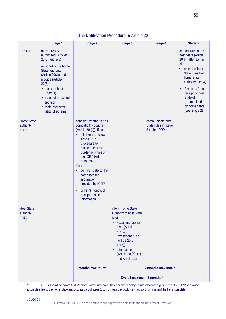|                                         | Stage 1                                                                                                                                                                                                                                                                       | Stage 2                                                                                                                                                                                                                                                                                                                                                                                         | Stage 3                                                                                                                                                                                                                                     | Stage 4                                                   | Stage 5                                                                                                                                                                                                                                                              |  |  |
|-----------------------------------------|-------------------------------------------------------------------------------------------------------------------------------------------------------------------------------------------------------------------------------------------------------------------------------|-------------------------------------------------------------------------------------------------------------------------------------------------------------------------------------------------------------------------------------------------------------------------------------------------------------------------------------------------------------------------------------------------|---------------------------------------------------------------------------------------------------------------------------------------------------------------------------------------------------------------------------------------------|-----------------------------------------------------------|----------------------------------------------------------------------------------------------------------------------------------------------------------------------------------------------------------------------------------------------------------------------|--|--|
| The IORP:                               | must already be<br>authorised (Articles<br>$20(2)$ and $9(5)$ )<br>must notify the home<br>State authority<br>(Article $20(2)$ ) and<br>provide (Article<br>$20(3)$ :<br>• name of host<br>State(s)<br>• name of proposed<br>sponsor<br>• main character-<br>istics of scheme |                                                                                                                                                                                                                                                                                                                                                                                                 |                                                                                                                                                                                                                                             |                                                           | can operate in the<br>host State (Article<br>20(6)) after earlier<br>of:<br>• receipt of host<br>State rules from<br>home State<br>authority (see 4)<br>2 months from<br>$\bullet$<br>receipt by host<br>State of<br>communication<br>by home State<br>(see Stage 2) |  |  |
| <b>Home State</b><br>authority<br>must: |                                                                                                                                                                                                                                                                               | consider whether it has<br>compatibility doubts<br>(Article 20 (4)). If so:<br>it is likely to follow<br>Article 14(4)<br>procedure to<br>restrict the cross<br>border activities of<br>the IORP (with<br>reasons).<br>If not:<br>communicate to the<br>$\bullet$<br>host State the<br>information<br>provided by IORP<br>within 3 months of<br>$\bullet$<br>receipt of all the<br>information. |                                                                                                                                                                                                                                             | communicate host<br>State rules in stage<br>3 to the IORP |                                                                                                                                                                                                                                                                      |  |  |
| <b>Host State</b><br>authority<br>must: |                                                                                                                                                                                                                                                                               |                                                                                                                                                                                                                                                                                                                                                                                                 | inform home State<br>authority of host State<br>rules:<br>• social and labour<br>laws (Article<br>20(6)<br>investment rules<br>$\bullet$<br>(Article 20(6);<br>18(7)<br>information<br>$\bullet$<br>(Article 20 (6), (7)<br>and Article 11) |                                                           |                                                                                                                                                                                                                                                                      |  |  |
|                                         |                                                                                                                                                                                                                                                                               | 3 months maximum*                                                                                                                                                                                                                                                                                                                                                                               | 2 months maximum*                                                                                                                                                                                                                           |                                                           |                                                                                                                                                                                                                                                                      |  |  |
|                                         |                                                                                                                                                                                                                                                                               | Overall maximum 5 months*                                                                                                                                                                                                                                                                                                                                                                       |                                                                                                                                                                                                                                             |                                                           |                                                                                                                                                                                                                                                                      |  |  |

# **The Notification Procedure in Article 20**

\* IORPs should be aware that Member States may have the capacity to delay communication: e.g. failure of the IORP to provide a complete file to the home State authority as part of stage 1 could mean the clock may not start running until the file is complete.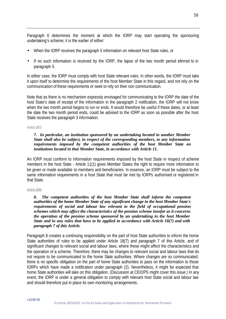Paragraph 6 determines the moment at which the IORP may start operating the sponsoring undertaking's scheme; it is the earlier of either:

- When the IORP receives the paragraph 5 information on relevant host State rules, or
- If no such information is received by the IORP, the lapse of the two month period eferred to in paragraph 5.

In either case, the IORP must comply with host State relevant rules. In other words, the IORP must take it upon itself to determine the requirements of the host Member State in this regard, and not rely on the communication of these requirements or seek to rely on their non communication.

Note that as there is no mechanism expressly envisaged for communicating to the IORP the date of the host State's date of receipt of the information in the paragraph 2 notification, the IORP will not know when the two month period begins to run or ends. It would therefore be useful if these dates, or at least the date the two month period ends, could be advised to the IORP as soon as possible after the host State receives the paragraph 3 information.

#### *Article 20(7)*

#### *7. In particular, an institution sponsored by an undertaking located in another Member State shall also be subject, in respect of the corresponding members, to any information requirements imposed by the competent authorities of the host Member State on institutions located in that Member State, in accordance with Article 11.*

An IORP must conform to information requirements imposed by the host State in respect of scheme members in the host State - Article 11(1) gives Member States the right to require more information to be given or made available to members and beneficiaries. In essence, an IORP must be subject to the same information requirements in a host State that must be met by IORPs authorised or registered in that State.

#### *Article 20(8)*

*8. The competent authorities of the host Member State shall inform the competent authorities of the home Member State of any significant change in the host Member State's requirements of social and labour law relevant to the field of occupational pension schemes which may affect the characteristics of the pension scheme insofar as it concerns the operation of the pension scheme sponsored by an undertaking in the host Member State and in any rules that have to be applied in accordance with Article 18(7) and with paragraph 7 of this Article.*

Paragraph 8 creates a continuing responsibility on the part of host State authorities to inform the home State authorities of rules to be applied under Article 18(7) and paragraph 7 of this Article, and of significant changes to relevant social and labour laws, where these might affect the characteristics and the operation of a scheme. Therefore, there may be changes to relevant social and labour laws that do not require to be communicated to the home State authorities. Where changes are so communicated, there is no specific obligation on the part of home State authorities to pass on the information to those IORPs which have made a notification under paragraph (2). Nevertheless, it might be expected that home State authorities will take on this obligation. (Discussion at CEIOPS might cover this issue.) In any event, the IORP is under a general obligation to comply with relevant host State social and labour law and should therefore put in place its own monitoring arrangements.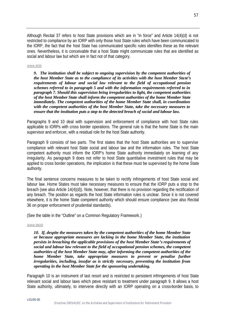Although Recital 37 refers to host State provisions which are in "in force" and Article 14(4)(d) is not restricted to compliance by an IORP with only those host State rules which have been communicated to the IORP, the fact that the host State has communicated specific rules identifies these as the relevant ones. Nevertheless, it is conceivable that a host State might communicate rules that are identified as social and labour law but which are in fact not of that category.

#### *Article 20(9)*

*9. The institution shall be subject to ongoing supervision by the competent authorities of the host Member State as to the compliance of its activities with the host Member State's requirements of labour and social law relevant to the field of occupational pension schemes referred to in paragraph 5 and with the information requirements referred to in paragraph 7. Should this supervision bring irregularities to light, the competent authorities of the host Member State shall inform the competent authorities of the home Member State immediately. The competent authorities of the home Member State shall, in coordination with the competent authorities of the host Member State, take the necessary measures to ensure that the institution puts a stop to the detected breach of social and labour law.*

Paragraphs 9 and 10 deal with supervision and enforcement of compliance with host State rules applicable to IORPs with cross border operations. The general rule is that the home State is the main supervisor and enforcer, with a residual role for the host State authority.

Paragraph 9 consists of two parts. The first states that the host State authorities are to supervise compliance with relevant host State social and labour law and the information rules. The host State competent authority must inform the IORP's home State authority immediately on learning of any irregularity. As paragraph 9 does not refer to host State quantitative investment rules that may be applied to cross border operations, the implication is that these must be supervised by the home State authority.

The final sentence concerns measures to be taken to rectify infringements of host State social and labour law. Home States must take necessary measures to ensure that the IORP puts a stop to the breach (see also Article 14(4)(d)). Note, however, that there is no provision regarding the rectification of any breach. The position as regards the host State information rules is unclear. Since it is not covered elsewhere, it is the home State competent authority which should ensure compliance (see also Recital 36 on proper enforcement of prudential standards).

(See the table in the "Outline" on a Common Regulatory Framework.)

#### *Article 20(10)*

*10. If, despite the measures taken by the competent authorities of the home Member State or because appropriate measures are lacking in the home Member State, the institution persists in breaching the applicable provisions of the host Member State's requirements of social and labour law relevant to the field of occupational pension schemes, the competent authorities of the host Member State may, after informing the competent authorities of the home Member State, take appropriate measures to prevent or penalise further irregularities, including, insofar as is strictly necessary, preventing the institution from operating in the host Member State for the sponsoring undertaking.*

Paragraph 10 is an instrument of last resort and is restricted to persistent infringements of host State relevant social and labour laws which prove resistant to treatment under paragraph 9. It allows a host State authority, ultimately, to intervene directly with an IORP operating on a cross-border basis, to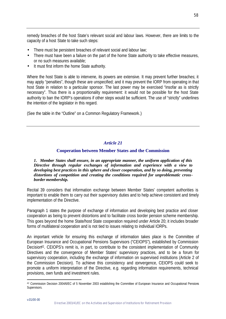remedy breaches of the host State's relevant social and labour laws. However, there are limits to the capacity of a host State to take such steps:

- There must be persistent breaches of relevant social and labour law;
- There must have been a failure on the part of the home State authority to take effective measures, or no such measures available;
- It must first inform the home State authority.

Where the host State is able to intervene, its powers are extensive. It may prevent further breaches; it may apply "penalties", though these are unspecified; and it may prevent the IORP from operating in that host State in relation to a particular sponsor. The last power may be exercised "insofar as is strictly necessary". Thus there is a proportionality requirement: it would not be possible for the host State authority to ban the IORP's operations if other steps would be sufficient. The use of "strictly" underlines the intention of the legislator in this regard.

(See the table in the "Outline" on a Common Regulatory Framework.)

# *Article 21*

# **Cooperation between Member States and the Commission**

*1. Member States shall ensure, in an appropriate manner, the uniform application of this Directive through regular exchanges of information and experience with a view to developing best practices in this sphere and closer cooperation, and by so doing, preventing distortions of competition and creating the conditions required for unproblematic crossborder membership.*

Recital 39 considers that information exchange between Member States' competent authorities is important to enable them to carry out their supervisory duties and to help achieve consistent and timely implementation of the Directive.

Paragraph 1 states the purpose of exchange of information and developing best practice and closer cooperation as being to prevent distortions and to facilitate cross border pension scheme membership. This goes beyond the home State/host State cooperation required under Article 20; it includes broader forms of multilateral cooperation and is not tied to issues relating to individual IORPs.

An important vehicle for ensuring this exchange of information takes place is the Committee of European Insurance and Occupational Pensions Supervisors ("CEIOPS"), established by Commission Decision<sup>42</sup>. CEIOPS's remit is, in part, to contribute to the consistent implementation of Community Directives and the convergence of Member States' supervisory practices, and to be a forum for supervisory cooperation, including the exchange of information on supervised institutions (Article 2 of the Commission Decision). To achieve this consistency and convergence, CEIOPS could seek to promote a uniform interpretation of the Directive, e.g. regarding information requirements, technical provisions, own funds and investment rules.

<sup>42</sup> Commission Decision 2004/6/EC of 5 November 2003 establishing the Committee of European Insurance and Occupational Pensions Supervisors.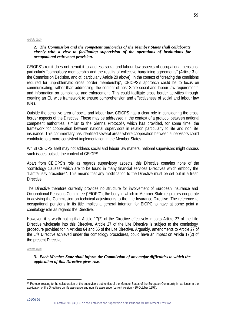#### *Article 21(2)*

#### *2. The Commission and the competent authorities of the Member States shall collaborate closely with a view to facilitating supervision of the operations of institutions for occupational retirement provision.*

CEIOPS's remit does not permit it to address social and labour law aspects of occupational pensions, particularly "compulsory membership and the results of collective bargaining agreements" (Article 3 of the Commission Decision, and cf. particularly Article 20 above). In the context of "creating the conditions required for unproblematic cross border membership", CEIOPS's approach could be to focus on communicating, rather than addressing, the content of host State social and labour law requirements and information on compliance and enforcement. This could facilitate cross border activities through creating an EU wide framework to ensure comprehension and effectiveness of social and labour law rules.

Outside the sensitive area of social and labour law, CEIOPS has a clear role in considering the cross border aspects of the Directive. These may be addressed in the context of a protocol between national competent authorities, similar to the Sienna Protoco<sup> $43$ </sup>, which has provided, for some time, the framework for cooperation between national supervisors in relation particularly to life and non life insurance. This commentary has identified several areas where cooperation between supervisors could contribute to a more consistent implementation in the Member States.

Whilst CEIOPS itself may not address social and labour law matters, national supervisors might discuss such issues outside the context of CEIOPS.

Apart from CEIOPS's role as regards supervisory aspects, this Directive contains none of the "comitology clauses" which are to be found in many financial services Directives which embody the "Lamfalussy procedure". This means that any modification to the Directive must be set out in a fresh **Directive** 

The Directive therefore currently provides no structure for involvement of European Insurance and Occupational Pensions Committee ("EIOPC"), the body in which in Member State regulators cooperate in advising the Commission on technical adjustments to the Life Insurance Directive. The reference to occupational pensions in its title implies a general intention for EIOPC to have at some point a comitology role as regards the Directive.

However, it is worth noting that Article 17(2) of the Directive effectively imports Article 27 of the Life Directive wholesale into this Directive. Article 27 of the Life Directive is subject to the comitology procedure provided for in Articles 64 and 65 of the Life Directive. Arguably, amendments to Article 27 of the Life Directive achieved under the comitology procedures, could have an impact on Article 17(2) of the present Directive.

#### *Article 21(3)*

*3. Each Member State shall inform the Commission of any major difficulties to which the application of this Directive gives rise.*

<sup>43</sup> Protocol relating to the collaboration of the supervisory authorities of the Member States of the European Community in particular in the application of the Directives on life assurance and non life assurance (current version - 30 October 1997).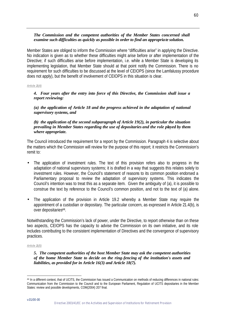# *The Commission and the competent authorities of the Member States concerned shall examine such difficulties as quickly as possible in order to find an appropriate solution.*

Member States are obliged to inform the Commission where "difficulties arise" in applying the Directive. No indication is given as to whether these difficulties might arise before or after implementation of the Directive; if such difficulties arise before implementation, i.e. while a Member State is developing its implementing legislation, that Member State should at that point notify the Commission. There is no requirement for such difficulties to be discussed at the level of CEIOPS (since the Lamfalussy procedure does not apply), but the benefit of involvement of CEIOPS in this situation is clear.

#### *Article 21(4)*

*4. Four years after the entry into force of this Directive, the Commission shall issue a report reviewing:*

*(a) the application of Article 18 and the progress achieved in the adaptation of national supervisory systems, and*

## *(b) the application of the second subparagraph of Article 19(2), in particular the situation prevailing in Member States regarding the use of depositaries and the role played by them where appropriate.*

The Council introduced the requirement for a report by the Commission. Paragraph 4 is selective about the matters which the Commission will review for the purpose of this report; it restricts the Commission's remit to:

- The application of investment rules. The text of this provision refers also to progress in the adaptation of national supervisory systems; it is drafted in a way that suggests this relates solely to investment rules. However, the Council's statement of reasons to its common position endorsed a Parliamentary proposal to review the adaptation of supervisory systems. This indicates the Council's intention was to treat this as a separate item. Given the ambiguity of (a), it is possible to construe the text by reference to the Council's common position, and not to the text of (a) alone.
- The application of the provision in Article 19.2 whereby a Member State may require the appointment of a custodian or depositary. The particular concern, as expressed in Article 21.4(b), is over depositaries<sup>44</sup>.

Notwithstanding the Commission's lack of power, under the Directive, to report otherwise than on these two aspects, CEIOPS has the capacity to advise the Commission on its own initiative, and its role includes contributing to the consistent implementation of Directives and the convergence of supervisory practices.

#### *Article 21(5)*

### *5. The competent authorities of the host Member State may ask the competent authorities of the home Member State to decide on the ring-fencing of the institution's assets and liabilities, as provided for in Article 16(3) and Article 18(7).*

<sup>44</sup> In a different context, that of UCITS, the Commission has issued a Communication on methods of reducing differences in national rules: Communication from the Commission to the Council and to the European Parliament, Regulation of UCITS depositaries in the Member States: review and possible developments, COM(2004) 207 final.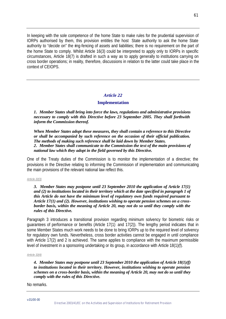In keeping with the sole competence of the home State to make rules for the prudential supervision of IORPs authorised by them, this provision entitles the host State authority to ask the home State authority to "decide on" the ring-fencing of assets and liabilities; there is no requirement on the part of the home State to comply. Whilst Article 16(3) could be interpreted to apply only to IORPs in specific circumstances, Article 18(7) is drafted in such a way as to apply generally to institutions carrying on cross border operations; in reality, therefore, discussions in relation to the latter could take place in the context of CEIOPS.

## *Article 22*

## **Implementation**

*1. Member States shall bring into force the laws, regulations and administrative provisions necessary to comply with this Directive before 23 September 2005. They shall forthwith inform the Commission thereof.*

*When Member States adopt these measures, they shall contain a reference to this Directive or shall be accompanied by such reference on the occasion of their official publication. The methods of making such reference shall be laid down by Member States. 2. Member States shall communicate to the Commission the text of the main provisions of national law which they adopt in the field governed by this Directive.*

One of the Treaty duties of the Commission is to monitor the implementation of a directive; the provisions in the Directive relating to informing the Commission of implementation and communicating the main provisions of the relevant national law reflect this.

#### *Article 22(3)*

*3. Member States may postpone until 23 September 2010 the application of Article 17(1) and (2) to institutions located in their territory which at the date specified in paragraph 1 of this Article do not have the minimum level of regulatory own funds required pursuant to Article 17(1) and (2). However, institutions wishing to operate pension schemes on a crossborder basis, within the meaning of Article 20, may not do so until they comply with the rules of this Directive.*

Paragraph 3 introduces a transitional provision regarding minimum solvency for biometric risks or guarantees of performance or benefits (Article 17(1) and 17(2)). The lengthy period indicates that in some Member States much work needs to be done to bring IORPs up to the required level of solvency for regulatory own funds. Nevertheless, cross border activities cannot be engaged in until compliance with Article 17(2) and 2 is achieved. The same applies to compliance with the maximum permissible level of investment in a sponsoring undertaking or its group, in accordance with Article 18(1)(f).

#### *Article 22(4)*

*4. Member States may postpone until 23 September 2010 the application of Article 18(1)(f) to institutions located in their territory. However, institutions wishing to operate pension schemes on a cross-border basis, within the meaning of Article 20, may not do so until they comply with the rules of this Directive.*

No remarks.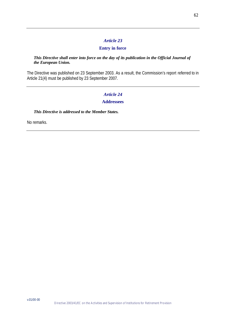# *Article 23*

# **Entry in force**

# *This Directive shall enter into force on the day of its publication in the Official Journal of the European Union.*

The Directive was published on 23 September 2003. As a result, the Commission's report referred to in Article 21(4) must be published by 23 September 2007.

# *Article 24*

# **Addressees**

# *This Directive is addressed to the Member States.*

No remarks.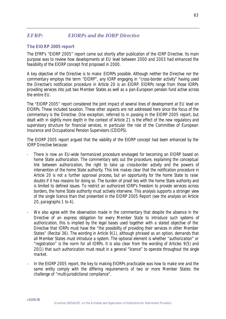# *EFRP: EIORPs and the IORP Directive*

# *The EIORP 2005 report*

*The EFRP's "EIORP 2005" report came out shortly after publication of the IORP Directive. Its main purpose was to review how developments at EU level between 2000 and 2003 had enhanced the feasibility of the EIORP concept first proposed in 2000.* 

*A key objective of the Directive is to make EIORPs possible. Although neither the Directive nor the commentary employs the term "EIORP", any IORP engaging in "cross-border activity" having used the Directive's notification procedure in Article 20 is an EIORP. EIORPs range from those IORPs providing services into just two Member States as well as a pan-European pension fund active across the entire EU.* 

*The "EIORP 2005" report considered the joint impact of several lines of development at EU level on EIORPs. These included taxation. These other aspects are not addressed here since the focus of the commentary is the Directive. One exception, referred to in passing in the EIORP 2005 report, but dealt with in slightly more depth in the context of Article 21 is the effect of the new regulatory and supervisory structure for financial services, in particular the role of the Committee of European Insurance and Occupational Pension Supervisors (CEIOPS).* 

*The EIORP 2005 report argued that the viability of the EIORP concept had been enhanced by the IORP Directive because:*

- *There is now an EU-wide harmonized procedure envisaged for becoming an EIORP based on home State authorization. The commentary sets out the procedure, explaining the conceptual link between authorization, the right to take up cross-border activity and the powers of intervention of the home State authority. This link makes clear that the notification procedure in Article 20 is not a further approval process, but an opportunity for the home State to raise doubts if it has reasons for doing so. The burden of proof lies with the home State authority and is limited to defined issues. To restrict an authorized IORP's freedom to provide services across borders, the home State authority must actively intervene. This analysis supports a stronger view of the single licence than that presented in the EIORP 2005 Report (see the analysis on Article 20, paragraphs 1 to 4).*
- We also agree with the observation made in the commentary that despite the absence in the *Directive of an express obligation for every Member State to introduce such systems of authorization, this is implied by the legal bases used together with a stated objective of the Directive that IORPs must have the "the possibility of providing their services in other Member States" (Recital 36). The wording in Article 9(1), although phrased as an option, demands that all Member States must introduce a system. The optional element is whether "authorization" or "registration" is the norm for all IORPs. It is also clear from the wording of Articles 9(5) and 20(1) that such authorization must result in a general "licence" to operate throughout the single market.*
- *In the EIORP 2005 report, the key to making EIORPs practicable was how to make one and the same entity comply with the differing requiremen ts of two or more Member States: the challenge of "multi-jurisdictional compliance".*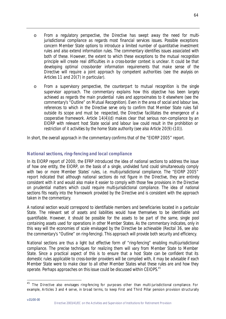- o *From a regulatory perspective, the Directive has swept away the need for multijurisdictional compliance as regards most financial services issues. Possible exceptions concern Member State options to introduce a limited number of quantitative investment rules and also extend information rules. The commentary identifies issues associated with both of these. However, the extent to which these exceptions to the mutual recognition principle will create real difficulties in a cross-border context is unclear. It could be that developing optimal cross-border information requirements that make sense of the Directive will require a joint approach by competent authorities (see the analysis on Articles 11 and 20(7) in particular).*
- o *From a supervisory perspective, the counterpart to mutual recognition is the single supervisor approach. The commentary explains how this objective has been largely achieved as regards the main prudential rules and approximates to it elsewhere (see the commentary's "Outline" on Mutual Recognition). Even in the area of social and labour law, references to which in the Directive serve only to confirm that Member State rules fall outside its scope and must be respected, the Directive facilitates the emergence of a cooperative framework. Article 14(4)(d) makes clear that serious non -compliance by an EIORP with relevant host State social and labour law could result in the prohibition or restriction of it activities by the home State authority (see also Article 20(9)-(10)).*

*In short, the overall approach in the commentary confirms that of the "EIORP 2005" report.* 

# *National sections, ring-fencing and local compliance*

*In its EIORP report of 2000, the EFRP introduced the idea of national sections to address the issue of how one entity, the EIORP, on the basis of a single, undivided fund could simultaneously comply with two or more Member States' rules, i.e. multi-jurisdictional compliance. The "EIORP 2005" report indicated that although national sections do not figure in the Directive, they are entirely consistent with it and would also make it easier to comply with those few provisions in the Directive on prudential matters which could require multi-jurisdictional compliance. The idea of national sections fits neatly into the framework provided by the Directive and is consistent with the approach taken in the commentary.* 

*A national section would correspond to identifiable members and beneficiaries located in a particular State. The relevant set of assets and liabilities would have themselves to be identifiable and quantifiable. However, it should be possible for the assets to be part of the same, single pool containing assets used for operations in other Member States. As the commentary indicates, only in this way will the economies of scale envisaged by the Directive be achievable (Recital 36, see also the commentary's "Outline" on ring-fencing). This approach will provide both security and efficiency.*

*National sections are thus a light but effective form of "ring-fencing" enabling multi-jurisdictional compliance. The precise techniques for realizing them will vary from Member State to Member State. Since a practical aspect of this is to ensure that a host State can be confident that its domestic rules applicable to cross-border providers will be complied with, it may be advisable if each Member State were to make clear to all other Member States what these rules are and how they operate. Perhaps approaches on this issue could be discussed within CEIOPS.<sup>45</sup>* 

 $^{45}$  The Directive also envisages ring-fencing for purposes other than multi-jurisdictional compliance. For example, Articles 3 and 4 serve, in broad terms, to keep First and Third Pillar pension provision structurally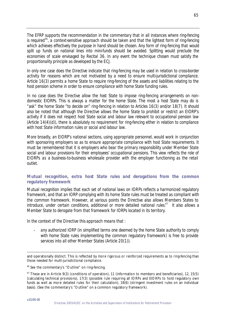*The EFRP supports the recommendation in the commentary that in all instances where ring-fencing is required<sup>46</sup>, a context-sensitive approach should be taken and that the lightest form of ring-fencing which achieves effectively the purpose in hand should be chosen. Any form of ring-fencing that would split up funds on national lines into mini-funds should be avoided. Splitting would preclude the economies of scale envisaged by Recital 36. In any event the technique chosen must satisfy the proportionality principle as developed by the ECJ.*

*In only one case does the Directive indicate that ring-fencing may be used in relation to cross-border activity for reasons which are not motivated by a need to ensure multi-jurisdictional compliance. Article 16(3) permits a home State to require ring-fencing of the assets and liabilities relating to the host pension scheme in order to ensure compliance with home State funding rules.* 

*In no case does the Directive allow the host State to impose ring-fencing arrangements on nondomestic EIORPs. This is always a matter for the home State. The most a host State may do is "ask" the home State "to decide on" ring-fencing in relation to Articles 16(3) and/or 18(7). It should also be noted that although the Directive allows the home State to prohibit or restrict an EIORP's activity if it does not respect host State social and labour law relevant to occupational pension law (Article 14(4)(d)), there is absolutely no requirement for ring-fencing either in relation to compliance with host State information rules or social and labour law.* 

*More broadly, an EIORP's national sections, using appropriate personnel, would work in conjunction with sponsoring employers so as to ensure appropriate compliance with host State requirements. It must be remembered that it is employers who bear the primary responsibility under Member State social and labour provisions for their employees' occupational pensions. This view reflects the role of EIORPs as a business-to-business wholesale provider with the employer functioning as the retail outlet.* 

# *Mutual recognition, extra host State rules and derogations from the common regulatory framework*

*Mutual recognition implies that each set of national laws on IORPs reflects a harmonized regulatory framework, and that an IORP complying with its home State rules must be treated as compliant with the common framework. However, at various points the Directive also allows Members States to introduce, under certain conditions, additional or more detailed national rules.<sup>47</sup> It also allows a Member State to derogate from that framework for IORPs located in its territory.*

*In the context of the Directive this approach means that :* 

- *any authorized IORP (in simplified terms one deemed by the home State authority to comply with home State rules implementing the common regulatory framework) is free to provide services into all other Member States (Article 20(1)).* 

and operationally distinct. This is reflected by more rigorous or reinforced requirements as to ring-fencing than those needed for multi-jurisdictional compliance.

<sup>46</sup> See the commentary's "Outline" on ring-fencing.

<sup>47</sup> These are in Article 9(3) (conditions of operation), 11 (information to members and beneficiaries), 12, 15(5) (calculating technical provisions), 17(3) (possible rule requiring all IORPs and EIORPs to hold regulatory own funds as well as more detailed rules for their calculation), 18(6) (stringent investment rules on an individual basis). (See the commentary's "Outline" on a common regulatory framework).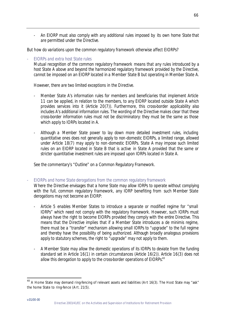- *An EIORP must also comply with any additional rules imposed by its own home State that are permitted under the Directive.*

*But how do variations upon the common regulatory framework otherwise affect EIORPs?* 

- *EIORPs and extra host State rules Mutual recognition of the common regulatory framework means that any rules introduced by a host State A above and beyond the harmonized regulatory framework provided by the Directive, cannot be imposed on an EIORP located in a Member State B but operating in Member State A.* 

*However, there are two limited exceptions in the Directive.* 

- *Member State A's information rules for members and beneficiaries that implement Article 11 can be applied, in relation to the members, to any EIORP located outside State A which provides services into it (Article 20(7)). Furthermore, this cross-border applicability also includes A's additional information rules. The wording of the Directive makes clear that these cross-border information rules must not be discriminatory: they must be the same as those which apply to IORPs located in A.*
- *Although a Member State power to lay down more detailed investment rules, including quantitative ones does not generally apply to non-domestic EIORPs, a limited range, allowed under Article 18(7) may apply to non -domestic EIORPs. State A may impose such limited rules on an EIORP located in State B that is active in State A provided that the same or stricter quantitative investment rules are imposed upon IORPs located in State A.*

*See the commentary's "Outline" on a Common Regulatory Framework.*

- *EIORPs and home State derogations from the common regulatory framework*

*Where the Directive envisages that a home State may allow IORPs to operate without complying with the full, common regulatory framework, any IORP benefiting from such Member State derogations may not become an EIORP:*

- *Article 5 enables Member States to introduce a separate or modified regime for "small IORPs" which need not comply with the regulatory framework. However, such IORPs must always have the right to become EIORPs provided they comply with the entire Directive. This means that the Directive implies that if a Member State introduces a de minimis regime, there must be a "transfer" mechanism allowing small IORPs to "upgrade" to the full regime and thereby have the possibility of being authorized. Although broadly analogous provisions apply to statutory schemes, the right to "upgrade" may not apply to them.*
- *A Member State may allow the domestic operations of its IORPs to deviate from the funding standard set in Article 16(1) in certain circumstances (Article 16(2)). Article 16(3) does not allow this derogation to apply to the cross-border operations of EIORPs.<sup>48</sup>*

 $^{48}$  A Home State may demand ring-fencing of relevant assets and liabilities (Art 16(3). The Host State may "ask" the home State to ring-fence (Art. 21(5).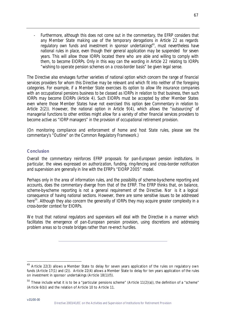Furthermore, although this does not come out in the commentary, the EFRP considers that *any Member State making use of the temporary derogations in Article 22 as regards regulatory own funds and investment in sponsor undertakings<sup>49</sup>, must nevertheless have national rules in place, even though their general application may be suspended for seven years. This will allow those IORPs located there who are able and willing to comply with them, to become EIORPs. Only in this way can the wording in Article 22 relating to IORPs "wishing to operate pension schemes on a cross-border basis" be given legal sense.* 

*The Directive also envisages further varieties of national option which concern the range of financial services providers for whom this Directive may be relevant and which fit into neither of the foregoing categories. For example, if a Member State exercises its option to allow life insurance companies with an occupational pensions business to be classed as IORPs in relation to that business, then such IORPs may become EIORPs (Article 4). Such EIORPs must be accepted by other Member States even where those Member States have not exercised this option (see Commentary in relation to Article 2(2)). However, the national option in Article 9(4), which allows the "outsourcing" of managerial functions to other entities might allow for a variety of other financial services providers to become active as "IORP managers" in the provision of occupational retirement provision.* 

*(On monitoring compliance and enforcement of home and host State rules, please see the commentary's "Outline" on the Common Regulatory Framework.)*

# *Conclusion*

*Overall the commentary reinforces EFRP proposals for pan-European pension institutions. In particular, the views expressed on authorization, funding, ring-fencing and cross-border notification and supervision are generally in line with the EFRP's "EIORP 2005" model.* 

*Perhaps only in the area of information rules, and the possibility of scheme-by-scheme reporting and accounts, does the commentary diverge from that of the EFRP. The EFRP thinks that, on balance, scheme-by-scheme reporting is not a general requirement of the Directive. Nor is it a logical consequence of having national sections. However, there are some sensitive issues to be addressed here<sup>50</sup>. Although they also concern the generality of IORPs they may acquire greater complexity in a cross-border context for EIORPs.* 

*We trust that national regulators and supervisors will deal with the Directive in a manner which facilitates the emergence of pan-European pension provision, using discretions and addressing problem areas so to create bridges rather than re-erect hurdles.*

<sup>&</sup>lt;sup>49</sup> Article 22(3) allows a Member State to delay for seven years application of the rules on regulatory own funds (Article 17(1) and (2)). Article 22(4) allows a Member State to delay for ten years application of the rules on investment in sponsor undertakings (Article 18(1)(f)).

 $50$  These include what it is to be a "particular pensions scheme" (Article 11(2)(a)), the definition of a "scheme" (Article 6(b)) and the relation of Article 10 to Article 11.